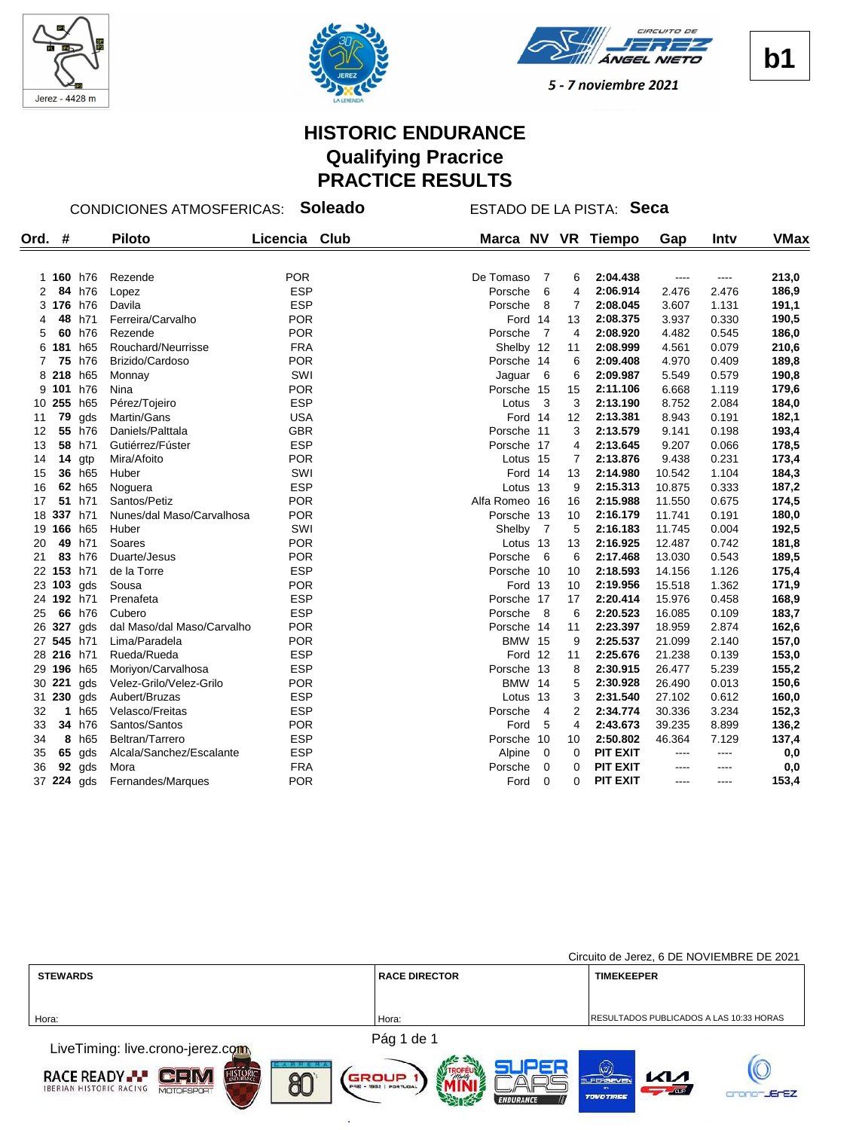





**b1**

5 - 7 noviembre 2021

# **HISTORIC ENDURANCE Qualifying Pracrice PRACTICE RESULTS**

#### CONDICIONES ATMOSFERICAS: **Soleado** ESTADO DE LA PISTA: **Seca**

| Ord. | #          |          | <b>Piloto</b>              | Licencia Club | Marca NV      |                 |    | VR Tiempo       | Gap       | Intv  | <b>VMax</b> |
|------|------------|----------|----------------------------|---------------|---------------|-----------------|----|-----------------|-----------|-------|-------------|
|      | 1 160 h76  |          | Rezende                    | <b>POR</b>    | De Tomaso     | - 7             | 6  | 2:04.438        | ----      | ----  | 213,0       |
| 2    |            | 84 h76   | Lopez                      | <b>ESP</b>    | Porsche       | 6               | 4  | 2:06.914        | 2.476     | 2.476 | 186,9       |
|      | 3 176 h76  |          | Davila                     | <b>ESP</b>    | Porsche       | 8               | 7  | 2:08.045        | 3.607     | 1.131 | 191,1       |
| 4    | 48         | h71      | Ferreira/Carvalho          | <b>POR</b>    | Ford 14       |                 | 13 | 2:08.375        | 3.937     | 0.330 | 190,5       |
| 5    |            | 60 h76   | Rezende                    | <b>POR</b>    | Porsche       | $\overline{7}$  | 4  | 2:08.920        | 4.482     | 0.545 | 186,0       |
| 6    | 181 h65    |          | Rouchard/Neurrisse         | <b>FRA</b>    | Shelby 12     |                 | 11 | 2:08.999        | 4.561     | 0.079 | 210,6       |
|      |            | 75 h76   | Brizido/Cardoso            | <b>POR</b>    | Porsche 14    |                 | 6  | 2:09.408        | 4.970     | 0.409 | 189,8       |
| 8    | 218 h65    |          | Monnay                     | SWI           | Jaguar        | $6\overline{6}$ | 6  | 2:09.987        | 5.549     | 0.579 | 190,8       |
| 9    | 101        | h76      | Nina                       | <b>POR</b>    | Porsche 15    |                 | 15 | 2:11.106        | 6.668     | 1.119 | 179,6       |
|      | 10 255 h65 |          | Pérez/Tojeiro              | <b>ESP</b>    | Lotus         | $\mathbf{3}$    | 3  | 2:13.190        | 8.752     | 2.084 | 184,0       |
| 11   | 79         | gds      | Martin/Gans                | <b>USA</b>    | Ford 14       |                 | 12 | 2:13.381        | 8.943     | 0.191 | 182,1       |
| 12   |            | 55 h76   | Daniels/Palttala           | <b>GBR</b>    | Porsche 11    |                 | 3  | 2:13.579        | 9.141     | 0.198 | 193,4       |
| 13   |            | 58 h71   | Gutiérrez/Fúster           | <b>ESP</b>    | Porsche 17    |                 | 4  | 2:13.645        | 9.207     | 0.066 | 178,5       |
| 14   |            | 14 $qtp$ | Mira/Afoito                | <b>POR</b>    | Lotus 15      |                 | 7  | 2:13.876        | 9.438     | 0.231 | 173,4       |
| 15   |            | 36 h65   | Huber                      | SWI           | Ford 14       |                 | 13 | 2:14.980        | 10.542    | 1.104 | 184,3       |
| 16   |            | 62 h65   | Noguera                    | <b>ESP</b>    | Lotus 13      |                 | 9  | 2:15.313        | 10.875    | 0.333 | 187,2       |
| 17   | 51         | h71      | Santos/Petiz               | <b>POR</b>    | Alfa Romeo 16 |                 | 16 | 2:15.988        | 11.550    | 0.675 | 174,5       |
| 18   | 337        | h71      | Nunes/dal Maso/Carvalhosa  | <b>POR</b>    | Porsche 13    |                 | 10 | 2:16.179        | 11.741    | 0.191 | 180,0       |
| 19   | 166 h65    |          | Huber                      | SWI           | Shelby        | $\overline{7}$  | 5  | 2:16.183        | 11.745    | 0.004 | 192,5       |
| 20   | 49         | h71      | Soares                     | <b>POR</b>    | Lotus 13      |                 | 13 | 2:16.925        | 12.487    | 0.742 | 181,8       |
| 21   |            | 83 h76   | Duarte/Jesus               | <b>POR</b>    | Porsche       | - 6             | 6  | 2:17.468        | 13.030    | 0.543 | 189,5       |
| 22   | 153 h71    |          | de la Torre                | <b>ESP</b>    | Porsche 10    |                 | 10 | 2:18.593        | 14.156    | 1.126 | 175,4       |
|      | 23 103     | gds      | Sousa                      | <b>POR</b>    | Ford 13       |                 | 10 | 2:19.956        | 15.518    | 1.362 | 171,9       |
|      | 24 192 h71 |          | Prenafeta                  | <b>ESP</b>    | Porsche 17    |                 | 17 | 2:20.414        | 15.976    | 0.458 | 168,9       |
| 25   |            | 66 h76   | Cubero                     | <b>ESP</b>    | Porsche       | - 8             | 6  | 2:20.523        | 16.085    | 0.109 | 183,7       |
| 26   | 327 gds    |          | dal Maso/dal Maso/Carvalho | <b>POR</b>    | Porsche 14    |                 | 11 | 2:23.397        | 18.959    | 2.874 | 162,6       |
| 27   | 545 h71    |          | Lima/Paradela              | <b>POR</b>    | <b>BMW 15</b> |                 | 9  | 2:25.537        | 21.099    | 2.140 | 157,0       |
|      | 28 216 h71 |          | Rueda/Rueda                | <b>ESP</b>    | Ford 12       |                 | 11 | 2:25.676        | 21.238    | 0.139 | 153,0       |
| 29   |            | 196 h65  | Moriyon/Carvalhosa         | <b>ESP</b>    | Porsche 13    |                 | 8  | 2:30.915        | 26.477    | 5.239 | 155,2       |
| 30   | 221        | gds      | Velez-Grilo/Velez-Grilo    | <b>POR</b>    | <b>BMW 14</b> |                 | 5  | 2:30.928        | 26.490    | 0.013 | 150,6       |
| 31   | 230        | gds      | Aubert/Bruzas              | <b>ESP</b>    | Lotus 13      |                 | 3  | 2:31.540        | 27.102    | 0.612 | 160,0       |
| 32   | 1          | h65      | Velasco/Freitas            | <b>ESP</b>    | Porsche       | $\overline{4}$  | 2  | 2:34.774        | 30.336    | 3.234 | 152,3       |
| 33   |            | 34 h76   | Santos/Santos              | <b>POR</b>    | Ford          | 5               | 4  | 2:43.673        | 39.235    | 8.899 | 136,2       |
| 34   |            | 8 h65    | Beltran/Tarrero            | <b>ESP</b>    | Porsche       | 10              | 10 | 2:50.802        | 46.364    | 7.129 | 137,4       |
| 35   | 65         | gds      | Alcala/Sanchez/Escalante   | <b>ESP</b>    | Alpine        | $\overline{0}$  | 0  | <b>PIT EXIT</b> | ----      | ----  | 0,0         |
| 36   |            | $92$ gds | Mora                       | <b>FRA</b>    | Porsche       | 0               | 0  | <b>PIT EXIT</b> |           | ----  | 0,0         |
|      | 37 224 gds |          | Fernandes/Marques          | <b>POR</b>    | Ford          | $\Omega$        | 0  | <b>PIT EXIT</b> | $- - - -$ | ----  | 153,4       |

|                                                                                 |                                | Circuito de Jerez, 6 DE NOVIEMBRE DE 2021                           |
|---------------------------------------------------------------------------------|--------------------------------|---------------------------------------------------------------------|
| <b>STEWARDS</b>                                                                 | <b>RACE DIRECTOR</b>           | <b>TIMEKEEPER</b>                                                   |
|                                                                                 |                                |                                                                     |
| Hora:                                                                           | Hora:                          | RESULTADOS PUBLICADOS A LAS 10:33 HORAS                             |
|                                                                                 | Pág 1 de 1                     |                                                                     |
| LiveTiming: live.crono-jerez.com                                                |                                |                                                                     |
| <b>TASH HUER</b><br>ستحمد<br><b>HISTORIC</b><br><b>RACE READY</b><br>$80^\circ$ | GROUP<br>PRE - 1982   PORTUGAL | (177)<br><b>KM</b><br><b>SUPERSEVEN</b>                             |
| <b>IBERIAN HISTORIC RACING</b><br><b>MOTOFSPORT</b><br>مستحسنا                  |                                | $\sqrt{\text{cm}}$<br><b>C-C7</b><br><b>Professional Profession</b> |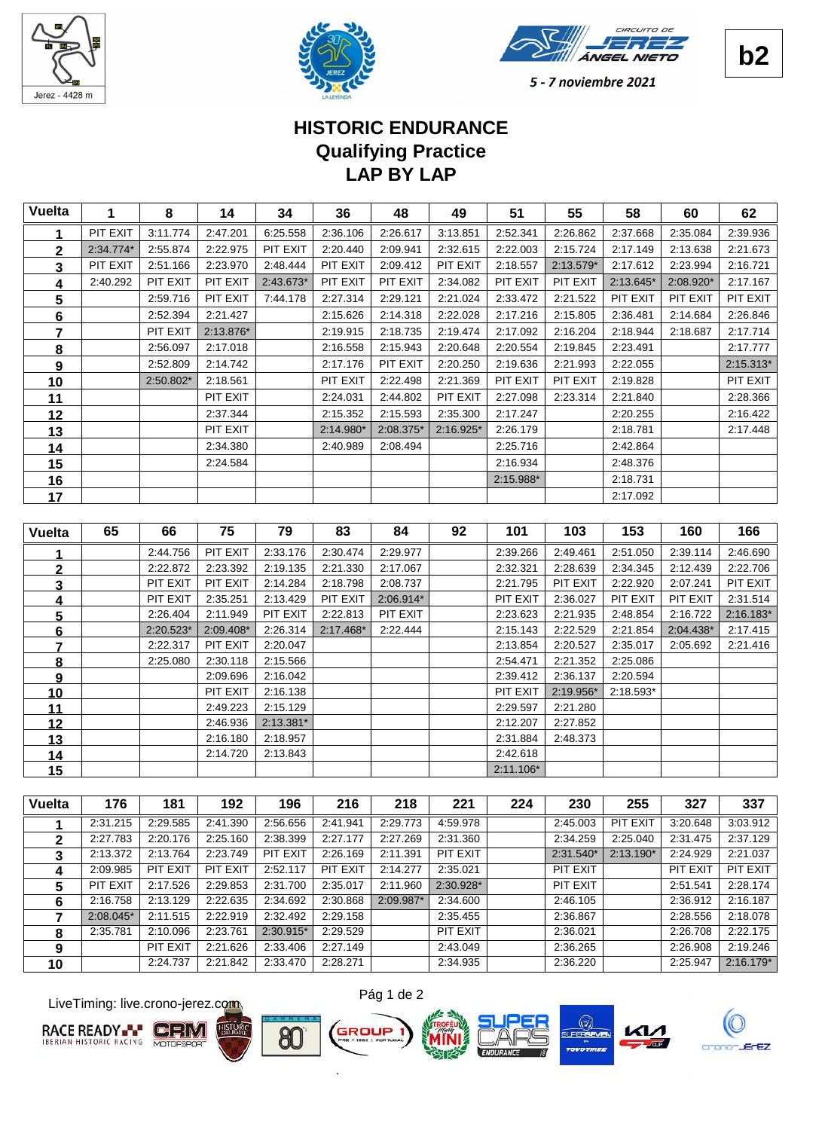





# **LAP BY LAP Qualifying Practice HISTORIC ENDURANCE**

| <b>Vuelta</b>  | 1         | 8         | 14        | 34        | 36        | 48        | 49          | 51        | 55        | 58        | 60        | 62          |
|----------------|-----------|-----------|-----------|-----------|-----------|-----------|-------------|-----------|-----------|-----------|-----------|-------------|
| 1              | PIT EXIT  | 3:11.774  | 2:47.201  | 6:25.558  | 2:36.106  | 2:26.617  | 3:13.851    | 2:52.341  | 2:26.862  | 2:37.668  | 2:35.084  | 2:39.936    |
| $\mathbf 2$    | 2:34.774* | 2:55.874  | 2:22.975  | PIT EXIT  | 2:20.440  | 2:09.941  | 2:32.615    | 2:22.003  | 2:15.724  | 2:17.149  | 2:13.638  | 2:21.673    |
| 3              | PIT EXIT  | 2:51.166  | 2:23.970  | 2:48.444  | PIT EXIT  | 2:09.412  | PIT EXIT    | 2:18.557  | 2:13.579* | 2:17.612  | 2:23.994  | 2:16.721    |
| 4              | 2:40.292  | PIT EXIT  | PIT EXIT  | 2:43.673* | PIT EXIT  | PIT EXIT  | 2:34.082    | PIT EXIT  | PIT EXIT  | 2:13.645* | 2:08.920* | 2:17.167    |
| 5              |           | 2:59.716  | PIT EXIT  | 7:44.178  | 2:27.314  | 2:29.121  | 2:21.024    | 2:33.472  | 2:21.522  | PIT EXIT  | PIT EXIT  | PIT EXIT    |
| 6              |           | 2:52.394  | 2:21.427  |           | 2:15.626  | 2:14.318  | 2:22.028    | 2:17.216  | 2:15.805  | 2:36.481  | 2:14.684  | 2:26.846    |
| 7              |           | PIT EXIT  | 2:13.876* |           | 2:19.915  | 2:18.735  | 2:19.474    | 2:17.092  | 2:16.204  | 2:18.944  | 2:18.687  | 2:17.714    |
| 8              |           | 2:56.097  | 2:17.018  |           | 2:16.558  | 2:15.943  | 2:20.648    | 2:20.554  | 2:19.845  | 2:23.491  |           | 2:17.777    |
| 9              |           | 2:52.809  | 2:14.742  |           | 2:17.176  | PIT EXIT  | 2:20.250    | 2:19.636  | 2:21.993  | 2:22.055  |           | 2:15.313*   |
| 10             |           | 2:50.802* | 2:18.561  |           | PIT EXIT  | 2:22.498  | 2:21.369    | PIT EXIT  | PIT EXIT  | 2:19.828  |           | PIT EXIT    |
| 11             |           |           | PIT EXIT  |           | 2:24.031  | 2:44.802  | PIT EXIT    | 2:27.098  | 2:23.314  | 2:21.840  |           | 2:28.366    |
| 12             |           |           | 2:37.344  |           | 2:15.352  | 2:15.593  | 2:35.300    | 2:17.247  |           | 2:20.255  |           | 2:16.422    |
| 13             |           |           | PIT EXIT  |           | 2:14.980* | 2:08.375* | $2:16.925*$ | 2:26.179  |           | 2:18.781  |           | 2:17.448    |
| 14             |           |           | 2:34.380  |           | 2:40.989  | 2:08.494  |             | 2:25.716  |           | 2:42.864  |           |             |
| 15             |           |           | 2:24.584  |           |           |           |             | 2:16.934  |           | 2:48.376  |           |             |
| 16             |           |           |           |           |           |           |             | 2:15.988* |           | 2:18.731  |           |             |
| 17             |           |           |           |           |           |           |             |           |           | 2:17.092  |           |             |
|                |           |           |           |           |           |           |             |           |           |           |           |             |
| <b>Vuelta</b>  | 65        | 66        | 75        | 79        | 83        | 84        | 92          | 101       | 103       | 153       | 160       | 166         |
| 1              |           | 2:44.756  | PIT EXIT  | 2:33.176  | 2:30.474  | 2:29.977  |             | 2:39.266  | 2:49.461  | 2:51.050  | 2:39.114  | 2:46.690    |
| $\overline{2}$ |           | 2:22.872  | 2:23.392  | 2:19.135  | 2:21.330  | 2:17.067  |             | 2:32.321  | 2:28.639  | 2:34.345  | 2:12.439  | 2:22.706    |
| 3              |           | PIT EXIT  | PIT EXIT  | 2:14.284  | 2:18.798  | 2:08.737  |             | 2:21.795  | PIT EXIT  | 2:22.920  | 2:07.241  | PIT EXIT    |
| 4              |           | PIT EXIT  | 2:35.251  | 2:13.429  | PIT EXIT  | 2:06.914* |             | PIT EXIT  | 2:36.027  | PIT EXIT  | PIT EXIT  | 2:31.514    |
| 5              |           | 2:26.404  | 2:11.949  | PIT EXIT  | 2:22.813  | PIT EXIT  |             | 2:23.623  | 2:21.935  | 2:48.854  | 2:16.722  | $2:16.183*$ |
| 6              |           | 2:20.523* | 2:09.408* | 2:26.314  | 2:17.468* | 2:22.444  |             | 2:15.143  | 2:22.529  | 2:21.854  | 2:04.438* | 2:17.415    |
| $\overline{7}$ |           | 2:22.317  | PIT EXIT  | 2:20.047  |           |           |             | 2:13.854  | 2:20.527  | 2:35.017  | 2:05.692  | 2:21.416    |
| 8              |           | 2:25.080  | 2:30.118  | 2:15.566  |           |           |             | 2:54.471  | 2:21.352  | 2:25.086  |           |             |
| 9              |           |           | 2:09.696  | 2:16.042  |           |           |             | 2:39.412  | 2:36.137  | 2:20.594  |           |             |
| <u>10</u>      |           |           | PIT EXIT  | 2:16.138  |           |           |             | PIT EXIT  | 2:19.956* | 2:18.593* |           |             |
| 11             |           |           | 2:49.223  | 2:15.129  |           |           |             | 2:29.597  | 2:21.280  |           |           |             |
|                |           |           |           |           |           |           |             |           |           |           |           |             |
| 12             |           |           | 2:46.936  | 2:13.381* |           |           |             | 2:12.207  | 2:27.852  |           |           |             |
| 13             |           |           | 2:16.180  | 2:18.957  |           |           |             | 2:31.884  | 2:48.373  |           |           |             |
| 14             |           |           | 2:14.720  | 2:13.843  |           |           |             | 2:42.618  |           |           |           |             |
| 15             |           |           |           |           |           |           |             | 2:11.106* |           |           |           |             |

| Vuelta | 176       | 181      | 192      | 196       | 216      | 218       | 221       | 224 | 230         | 255         | 327      | 337         |
|--------|-----------|----------|----------|-----------|----------|-----------|-----------|-----|-------------|-------------|----------|-------------|
|        | 2:31.215  | 2:29.585 | 2:41.390 | 2:56.656  | 2:41.941 | 2:29.773  | 4:59.978  |     | 2:45.003    | PIT EXIT    | 3:20.648 | 3:03.912    |
| 2      | 2:27.783  | 2:20.176 | 2:25.160 | 2:38.399  | 2:27.177 | 2:27.269  | 2:31.360  |     | 2:34.259    | 2:25.040    | 2:31.475 | 2:37.129    |
| 3      | 2:13.372  | 2:13.764 | 2:23.749 | PIT EXIT  | 2:26.169 | 2:11.391  | PIT EXIT  |     | $2:31.540*$ | $2:13.190*$ | 2:24.929 | 2:21.037    |
| 4      | 2:09.985  | PIT EXIT | PIT EXIT | 2:52.117  | PIT EXIT | 2:14.277  | 2:35.021  |     | PIT EXIT    |             | PIT EXIT | PIT EXIT    |
| 5      | PIT EXIT  | 2:17.526 | 2:29.853 | 2:31.700  | 2:35.017 | 2:11.960  | 2:30.928* |     | PIT EXIT    |             | 2:51.541 | 2:28.174    |
| 6      | 2:16.758  | 2:13.129 | 2:22.635 | 2:34.692  | 2:30.868 | 2:09.987* | 2:34.600  |     | 2:46.105    |             | 2:36.912 | 2:16.187    |
|        | 2:08.045* | 2:11.515 | 2:22.919 | 2:32.492  | 2:29.158 |           | 2:35.455  |     | 2:36.867    |             | 2:28.556 | 2:18.078    |
| 8      | 2:35.781  | 2:10.096 | 2:23.761 | 2:30.915* | 2:29.529 |           | PIT EXIT  |     | 2:36.021    |             | 2:26.708 | 2:22.175    |
| 9      |           | PIT EXIT | 2:21.626 | 2:33.406  | 2:27.149 |           | 2:43.049  |     | 2:36.265    |             | 2:26.908 | 2:19.246    |
| 10     |           | 2:24.737 | 2:21.842 | 2:33.470  | 2:28.271 |           | 2:34.935  |     | 2:36.220    |             | 2:25.947 | $2:16.179*$ |

LiveTiming: live.crono-jerez.com











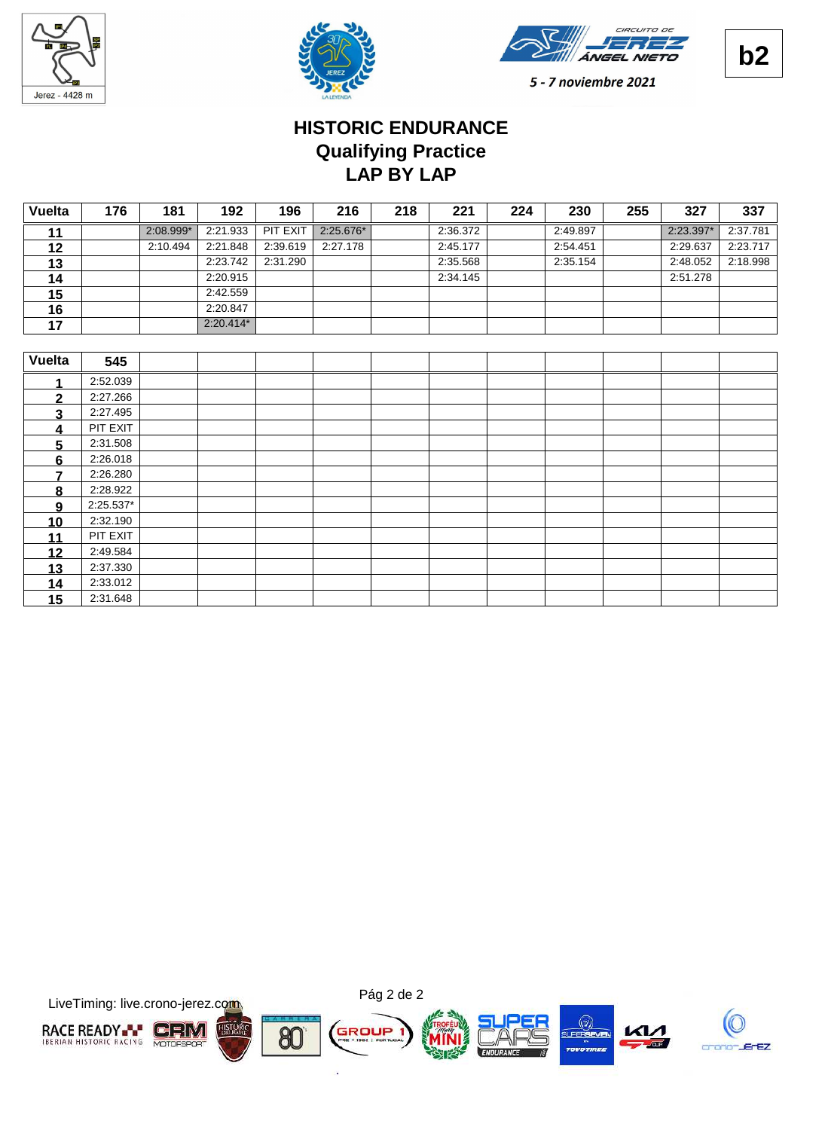





# **LAP BY LAP Qualifying Practice HISTORIC ENDURANCE**

| <b>Vuelta</b> | 176       | 181       | 192         | 196      | 216       | 218 | 221      | 224 | 230      | 255 | 327       | 337      |
|---------------|-----------|-----------|-------------|----------|-----------|-----|----------|-----|----------|-----|-----------|----------|
| 11            |           | 2:08.999* | 2:21.933    | PIT EXIT | 2:25.676* |     | 2:36.372 |     | 2:49.897 |     | 2:23.397* | 2:37.781 |
| 12            |           | 2:10.494  | 2:21.848    | 2:39.619 | 2:27.178  |     | 2:45.177 |     | 2:54.451 |     | 2:29.637  | 2:23.717 |
| 13            |           |           | 2:23.742    | 2:31.290 |           |     | 2:35.568 |     | 2:35.154 |     | 2:48.052  | 2:18.998 |
| 14            |           |           | 2:20.915    |          |           |     | 2:34.145 |     |          |     | 2:51.278  |          |
| 15            |           |           | 2:42.559    |          |           |     |          |     |          |     |           |          |
| 16            |           |           | 2:20.847    |          |           |     |          |     |          |     |           |          |
| 17            |           |           | $2:20.414*$ |          |           |     |          |     |          |     |           |          |
|               |           |           |             |          |           |     |          |     |          |     |           |          |
| <b>Vuelta</b> | 545       |           |             |          |           |     |          |     |          |     |           |          |
|               | 2:52.039  |           |             |          |           |     |          |     |          |     |           |          |
| $\mathbf{2}$  | 2:27.266  |           |             |          |           |     |          |     |          |     |           |          |
| 3             | 2:27.495  |           |             |          |           |     |          |     |          |     |           |          |
| 4             | PIT EXIT  |           |             |          |           |     |          |     |          |     |           |          |
| 5             | 2:31.508  |           |             |          |           |     |          |     |          |     |           |          |
| 6             | 2:26.018  |           |             |          |           |     |          |     |          |     |           |          |
| 7             | 2:26.280  |           |             |          |           |     |          |     |          |     |           |          |
| 8             | 2:28.922  |           |             |          |           |     |          |     |          |     |           |          |
| 9             | 2:25.537* |           |             |          |           |     |          |     |          |     |           |          |
| 10            | 2:32.190  |           |             |          |           |     |          |     |          |     |           |          |
| 11            | PIT EXIT  |           |             |          |           |     |          |     |          |     |           |          |
| 12            | 2:49.584  |           |             |          |           |     |          |     |          |     |           |          |
| 13            | 2:37.330  |           |             |          |           |     |          |     |          |     |           |          |
| 14            | 2:33.012  |           |             |          |           |     |          |     |          |     |           |          |
| 15            | 2:31.648  |           |             |          |           |     |          |     |          |     |           |          |

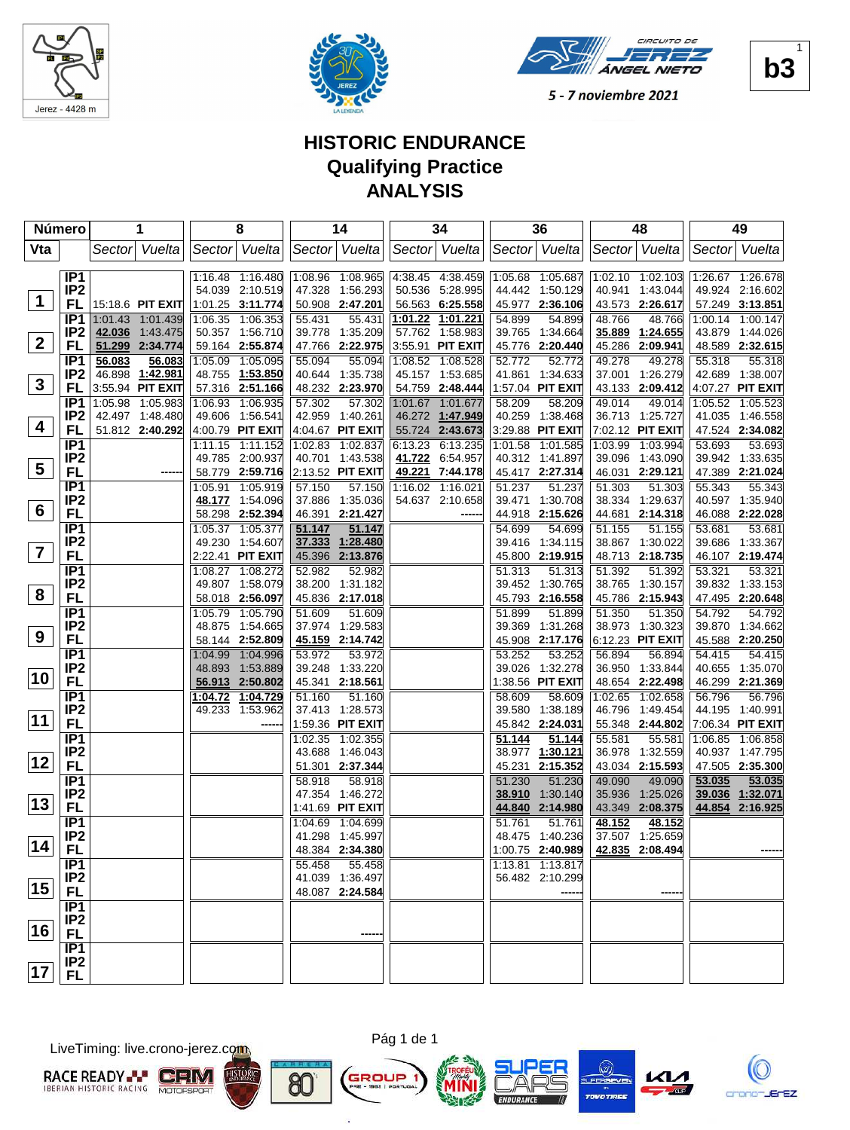





## **HISTORIC ENDURANCE Qualifying Practice ANALYSIS**

|                         | Número                             | 1                                   | 8                                      | 14                                     | 34                                 | 36                                     | 48                                     | 49                                  |
|-------------------------|------------------------------------|-------------------------------------|----------------------------------------|----------------------------------------|------------------------------------|----------------------------------------|----------------------------------------|-------------------------------------|
| Vta                     |                                    | Sector Vuelta                       | Sector Vuelta                          | Sector Vuelta                          | Sector Vuelta                      | Sector Vuelta                          | Sector Vuelta                          | Sector Vuelta                       |
|                         |                                    |                                     |                                        |                                        |                                    |                                        |                                        |                                     |
|                         | IP <sub>1</sub>                    |                                     | 1:16.48 1:16.480                       | 1:08.96 1:08.965                       | 4:38.45 4:38.459                   | 1:05.68 1:05.687                       | 1:02.10 1:02.103                       | 1:26.67 1:26.678                    |
| $\mathbf 1$             | IP <sub>2</sub>                    |                                     | 54.039 2:10.519                        | 47.328<br>1:56.293                     | 5:28.995<br>50.536                 | 44.442 1:50.129                        | 40.941 1:43.044                        | 49.924 2:16.602                     |
|                         | FL                                 | 15:18.6 PIT EXIT                    | 1:01.25 3:11.774                       | 50.908 2:47.201                        | 56.563 6:25.558                    | 45.977 2:36.106                        | 43.573 2:26.617                        | 57.249 3:13.851                     |
|                         | IP <sub>1</sub>                    | 1:01.43 1:01.439                    | 1:06.35 1:06.353                       | 55.431<br>55.431                       | 1:01.22<br>1:01.221                | 54.899<br>54.899                       | 48.766<br>48.766                       | 1:00.14 1:00.147                    |
| $\overline{2}$          | IP <sub>2</sub>                    | 42.036 1:43.475                     | 50.357 1:56.710                        | 39.778<br>1:35.209                     | 57.762<br>1:58.983                 | 39.765<br>1:34.664                     | 35.889<br>1:24.655                     | 43.879 1:44.026                     |
|                         | FL                                 | 51.299 2:34.774                     | 59.164 2:55.874                        | 47.766 2:22.975                        | 3:55.91 PIT EXIT                   | 45.776 2:20.440                        | 45.286 2:09.941                        | 48.589 2:32.615                     |
|                         | IP <sub>1</sub><br>IP <sub>2</sub> | 56.083<br>56.083<br>46.898 1:42.981 | 1:05.09<br>1:05.095<br>48.755 1:53.850 | 55.094<br>55.094<br>1:35.738<br>40.644 | 1:08.52<br>1:08.528                | 52.772<br>52.772<br>41.861<br>1:34.633 | 49.278<br>49.278<br>37.001<br>1:26.279 | 55.318<br>55.318<br>42.689 1:38.007 |
| $\mathbf{3}$            | FL                                 | 3:55.94 PIT EXIT                    | 57.316 2:51.166                        | 48.232 2:23.970                        | 45.157 1:53.685<br>54.759 2:48.444 | 1:57.04 PIT EXIT                       | 43.133 2:09.412                        | 4:07.27 PIT EXIT                    |
|                         | IP <sub>1</sub>                    | 1:05.98 1:05.983                    | 1:06.93<br>1:06.935                    | 57.302<br>57.302                       | 1:01.67<br>1:01.677                | 58.209<br>58.209                       | 49.014<br>49.014                       | 1:05.52 1:05.523                    |
|                         | IP <sub>2</sub>                    | 42.497 1:48.480                     | 49.606 1:56.541                        | 42.959 1:40.261                        | 1:47.949<br>46.272                 | 40.259 1:38.468                        | 36.713 1:25.727                        | 41.035 1:46.558                     |
| 4                       | FL                                 | 51.812 2:40.292                     | 4:00.79 PIT EXIT                       | 4:04.67 PIT EXIT                       | 55.724 2:43.673                    | 3:29.88 PIT EXIT                       | 7:02.12 PIT EXIT                       | 47.524 2:34.082                     |
|                         | IP <sub>1</sub>                    |                                     | 1:11.15 1:11.152                       | 1:02.83 1:02.837                       | 6:13.235<br>6:13.23                | 1:01.58<br>1:01.585                    | 1:03.99 1:03.994                       | 53.693<br>53.693                    |
|                         | IP <sub>2</sub>                    |                                     | 49.785 2:00.937                        | 40.701 1:43.538                        | 41.722<br>6:54.957                 | 40.312 1:41.897                        | 39.096 1:43.090                        | 39.942 1:33.635                     |
| $\overline{\mathbf{5}}$ | FL                                 |                                     | 58.779 2:59.716                        | 2:13.52 PIT EXIT                       | 49.221<br>7:44.178                 | 45.417 2:27.314                        | 46.031 2:29.121                        | 47.389 2:21.024                     |
|                         | IP1                                |                                     | 1:05.91 1:05.919                       | 57.150<br>57.150                       | 1:16.02 1:16.021                   | 51.237<br>51.237                       | 51.303<br>51.303                       | 55.343<br>55.343                    |
|                         | IP <sub>2</sub>                    |                                     | 48.177 1:54.096                        | 37.886 1:35.036                        | 54.637 2:10.658                    | 39.471<br>1:30.708                     | 38.334<br>1:29.637                     | 40.597 1:35.940                     |
| $6\phantom{1}6$         | <b>FL</b>                          |                                     | 58.298 2:52.394                        | 46.391<br>2:21.427                     |                                    | 44.918 2:15.626                        | 44.681<br>2:14.318                     | 46.088 2:22.028                     |
|                         | IP1                                |                                     | 1:05.37 1:05.377                       | 51.147<br>51.147                       |                                    | 54.699<br>54.699                       | 51.155<br>51.155                       | 53.681<br>$\overline{53.681}$       |
|                         | IP <sub>2</sub>                    |                                     | 49.230 1:54.607                        | 37.333<br>1:28.480                     |                                    | 1:34.115<br>39.416                     | 38.867 1:30.022                        | 39.686 1:33.367                     |
| $\overline{\mathbf{7}}$ | FL                                 |                                     | 2:22.41 PIT EXIT                       | 2:13.876<br>45.396                     |                                    | 45.800 2:19.915                        | 48.713 2:18.735                        | 46.107 2:19.474                     |
|                         | IP1                                |                                     | 1:08.27 1:08.272                       | 52.982<br>52.982                       |                                    | 51.313<br>51.313                       | 51.392<br>51.392                       | 53.321<br>53.321                    |
| 8                       | IP <sub>2</sub>                    |                                     | 49.807 1:58.079                        | 38.200 1:31.182                        |                                    | 39.452 1:30.765                        | 38.765 1:30.157                        | 39.832 1:33.153                     |
|                         | <b>FL</b>                          |                                     | 58.018 2:56.097                        | 45.836 2:17.018                        |                                    | 45.793 2:16.558                        | 45.786 2:15.943                        | 47.495 2:20.648                     |
|                         | IP <sub>1</sub>                    |                                     | 1:05.790<br>1:05.79                    | 51.609<br>51.609                       |                                    | 51.899<br>51.899                       | 51.350<br>51.350                       | 54.792<br>54.792                    |
| 9                       | IP <sub>2</sub>                    |                                     | 48.875 1:54.665                        | 37.974 1:29.583                        |                                    | 39.369<br>1:31.268                     | 38.973 1:30.323                        | 39.870 1:34.662                     |
|                         | FL                                 |                                     | 58.144 2:52.809<br>1:04.996            | 45.159 2:14.742<br>53.972<br>53.972    |                                    | 45.908 2:17.176                        | 6:12.23 PIT EXIT<br>56.894<br>56.894   | 45.588 2:20.250<br>54.415           |
|                         | IP <sub>1</sub><br>IP <sub>2</sub> |                                     | 1:04.99<br>48.893 1:53.889             | 39.248 1:33.220                        |                                    | 53.252<br>53.252<br>39.026 1:32.278    | 36.950 1:33.844                        | 54.415<br>40.655 1:35.070           |
| 10                      | <b>FL</b>                          |                                     | 56.913 2:50.802                        | 45.341<br>2:18.561                     |                                    | 1:38.56 PIT EXIT                       | 48.654 2:22.498                        | 46.299 2:21.369                     |
|                         | IP <sub>1</sub>                    |                                     | 1:04.72 1:04.729                       | 51.160<br>51.160                       |                                    | 58.609<br>58.609                       | 1:02.65<br>1:02.658                    | 56.796<br>56.796                    |
|                         | IP <sub>2</sub>                    |                                     | 49.233 1:53.962                        | 37.413 1:28.573                        |                                    | 39.580<br>1:38.189                     | 46.796<br>1:49.454                     | 44.195 1:40.991                     |
| 11                      | <b>FL</b>                          |                                     |                                        | 1:59.36 PIT EXIT                       |                                    | 45.842 2:24.031                        | 55.348 2:44.802                        | 7:06.34 PIT EXIT                    |
|                         | IP1                                |                                     |                                        | 1:02.355<br>1:02.35                    |                                    | 51.144<br>51.144                       | 55.581<br>55.581                       | 1:06.85 1:06.858                    |
|                         | IP <sub>2</sub>                    |                                     |                                        | 43.688 1:46.043                        |                                    | 38.977 1:30.121                        | 36.978 1:32.559                        | 40.937 1:47.795                     |
| 12                      | <b>FL</b>                          |                                     |                                        | 51.301 2:37.344                        |                                    | 2:15.352<br>45.231                     | 43.034 2:15.593                        | 47.505 2:35.300                     |
|                         | IP1                                |                                     |                                        | 58.918<br>58.918                       |                                    | 51.230<br>51.230                       | 49.090<br>49.090                       | 53.035<br>53.035                    |
|                         | IP <sub>2</sub>                    |                                     |                                        | 47.354 1:46.272                        |                                    | 38.910<br>1:30.140                     | 35.936<br>1:25.026                     | 39.036 1:32.071                     |
| $ 13\rangle$            | <b>FL</b>                          |                                     |                                        | 1:41.69 PIT EXIT                       |                                    | 44.840<br>2:14.980                     | 43.349<br>2:08.375                     | 2:16.925<br>44.854                  |
|                         | IP1                                |                                     |                                        | 1:04.69 1:04.699                       |                                    | 51.761<br>51.761                       | 48.152<br>48.152                       |                                     |
| 14                      | IP <sub>2</sub>                    |                                     |                                        | 41.298 1:45.997                        |                                    | 48.475 1:40.236                        | 37.507 1:25.659                        |                                     |
|                         | FL,                                |                                     |                                        | 48.384 2:34.380                        |                                    | 1:00.75 2:40.989                       | 42.835 2:08.494                        |                                     |
|                         | IP1<br>IP <sub>2</sub>             |                                     |                                        | 55.458<br>55.458<br>41.039 1:36.497    |                                    | 1:13.81 1:13.817<br>56.482 2:10.299    |                                        |                                     |
| 15                      | <b>FL</b>                          |                                     |                                        | 48.087 2:24.584                        |                                    |                                        |                                        |                                     |
|                         | IP1                                |                                     |                                        |                                        |                                    |                                        |                                        |                                     |
|                         | IP <sub>2</sub>                    |                                     |                                        |                                        |                                    |                                        |                                        |                                     |
| 16                      | <b>FL</b>                          |                                     |                                        |                                        |                                    |                                        |                                        |                                     |
|                         | IP1                                |                                     |                                        |                                        |                                    |                                        |                                        |                                     |
|                         | IP <sub>2</sub>                    |                                     |                                        |                                        |                                    |                                        |                                        |                                     |
| 17                      | <b>FL</b>                          |                                     |                                        |                                        |                                    |                                        |                                        |                                     |

LiveTiming: live.crono-jerez.com





×







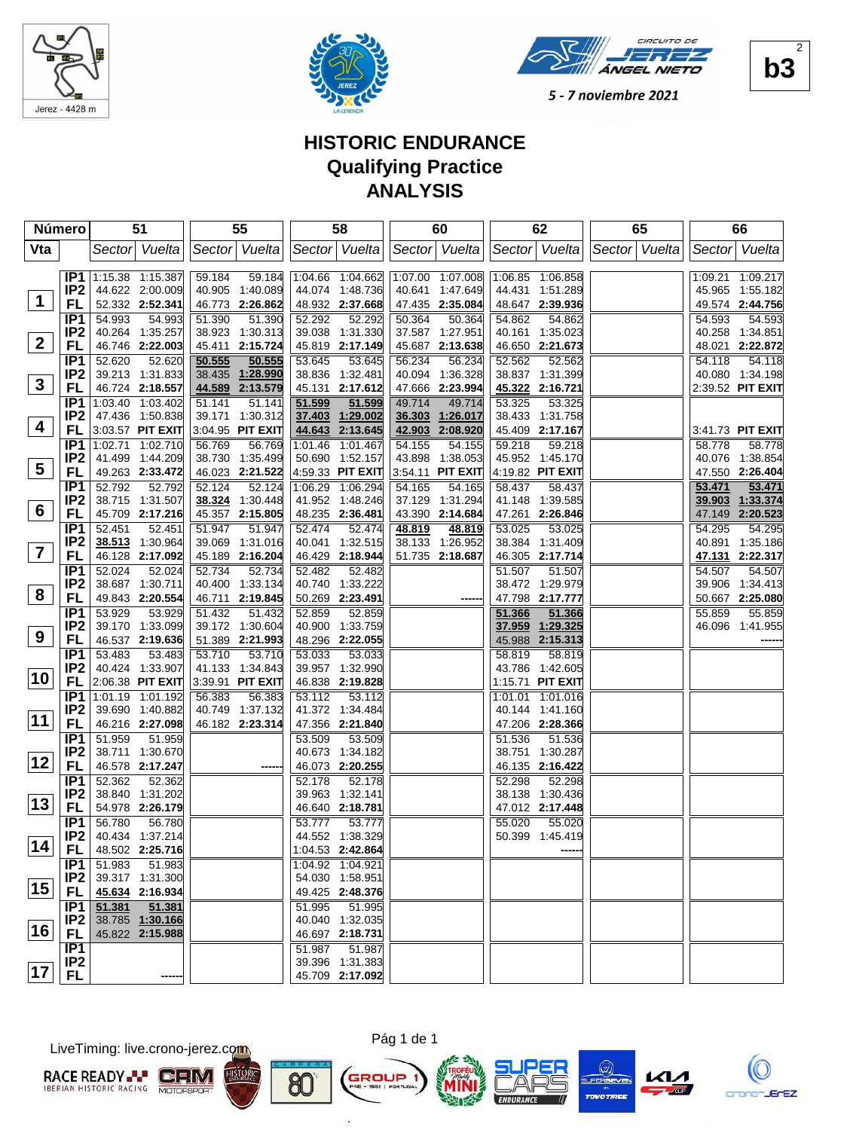





## **HISTORIC ENDURANCE Qualifying Practice ANALYSIS**

|                 | Número                             | 51                                  | 55               | 58                                  | 60                 | 62                                  | 65            | 66                 |
|-----------------|------------------------------------|-------------------------------------|------------------|-------------------------------------|--------------------|-------------------------------------|---------------|--------------------|
| Vta             |                                    | Sector Vuelta                       | Sector Vuelta    | Sector Vuelta                       | Sector Vuelta      | Sector Vuelta                       | Sector Vuelta | Sector Vuelta      |
|                 |                                    |                                     |                  |                                     |                    |                                     |               |                    |
|                 | IP1                                | 1:15.38 1:15.387                    | 59.184<br>59.184 | 1:04.66 1:04.662                    | 1:07.00 1:07.008   | 1:06.85 1:06.858                    |               | 1:09.21 1:09.217   |
| $\mathbf 1$     | IP <sub>2</sub>                    | 44.622 2:00.009                     | 40.905 1:40.089  | 44.074 1:48.736                     | 40.641 1:47.649    | 44.431 1:51.289                     |               | 45.965 1:55.182    |
|                 | FL                                 | 52.332 2:52.341                     | 46.773 2:26.862  | 48.932 2:37.668                     | 47.435 2:35.084    | 48.647 2:39.936                     |               | 49.574 2:44.756    |
|                 | IP <sub>1</sub>                    | 54.993<br>54.993                    | 51.390<br>51.390 | 52.292<br>52.292                    | 50.364<br>50.364   | 54.862<br>54.862                    |               | 54.593<br>54.593   |
| $\mathbf{2}$    | IP <sub>2</sub>                    | 40.264 1:35.257                     | 38.923 1:30.313  | 39.038 1:31.330                     | 37.587 1:27.951    | 40.161<br>1:35.023                  |               | 40.258 1:34.851    |
|                 | FL                                 | 46.746 2:22.003                     | 45.411 2:15.724  | 45.819 2:17.149                     | 45.687<br>2:13.638 | 46.650 2:21.673                     |               | 48.021 2:22.872    |
|                 | IP <sub>1</sub>                    | 52.620<br>52.620                    | 50.555<br>50.555 | 53.645<br>53.645                    | 56.234<br>56.234   | 52.562<br>52.562                    |               | 54.118<br>54.118   |
| $\mathbf{3}$    | IP <sub>2</sub>                    | 39.213 1:31.833                     | 38.435 1:28.990  | 38.836 1:32.481                     | 40.094<br>1:36.328 | 38.837 1:31.399                     |               | 40.080 1:34.198    |
|                 | FL                                 | 46.724 2:18.557                     | 44.589 2:13.579  | 45.131 2:17.612                     | 2:23.994<br>47.666 | 45.322 2:16.721                     |               | 2:39.52 PIT EXIT   |
|                 | IP <sub>1</sub>                    | 1:03.40 1:03.402                    | 51.141<br>51.141 | 51.599<br>51.599                    | 49.714<br>49.714   | 53.325<br>53.325                    |               |                    |
| 4               | IP <sub>2</sub>                    | 47.436 1:50.838                     | 39.171 1:30.312  | 37.403<br>1:29.002                  | 36.303<br>1:26.017 | 38.433 1:31.758                     |               |                    |
|                 | FL                                 | 3:03.57 PIT EXIT                    | 3:04.95 PIT EXIT | 44.643 2:13.645                     | 42.903 2:08.920    | 45.409 2:17.167                     |               | 3:41.73 PIT EXIT   |
|                 | IP1                                | 1:02.71 1:02.710                    | 56.769<br>56.769 | 1:01.46 1:01.467                    | 54.155<br>54.155   | 59.218<br>59.218                    |               | 58.778<br>58.778   |
| $5\overline{)}$ | IP <sub>2</sub>                    | 41.499 1:44.209                     | 38.730 1:35.499  | 50.690 1:52.157                     | 43.898<br>1:38.053 | 45.952 1:45.170                     |               | 40.076 1:38.854    |
|                 | <b>FL</b>                          | 49.263 2:33.472                     | 46.023 2:21.522  | 4:59.33 PIT EXIT                    | 3:54.11 PIT EXIT   | 4:19.82 PIT EXIT                    |               | 47.550 2:26.404    |
|                 | IP <sub>1</sub>                    | 52.792<br>52.792                    | 52.124<br>52.124 | 1:06.29<br>1:06.294                 | 54.165<br>54.165   | 58.437<br>58.437                    |               | 53.471<br>53.471   |
| $6\phantom{1}$  | IP <sub>2</sub>                    | 38.715 1:31.507                     | 38.324 1:30.448  | 41.952 1:48.246                     | 37.129<br>1:31.294 | 41.148 1:39.585                     |               | 39.903 1:33.374    |
|                 | <b>FL</b>                          | 45.709 2:17.216                     | 45.357 2:15.805  | 48.235 2:36.481                     | 43.390 2:14.684    | 2:26.846<br>47.261                  |               | 47.149 2:20.523    |
|                 | IP <sub>1</sub>                    | 52.451<br>52.451                    | 51.947<br>51.947 | 52.474<br>52.474                    | 48.819<br>48.819   | 53.025<br>53.025                    |               | 54.295<br>54.295   |
| $\overline{7}$  | IP <sub>2</sub>                    | 38.513 1:30.964                     | 39.069 1:31.016  | 40.041 1:32.515                     | 38.133<br>1:26.952 | 38.384 1:31.409                     |               | 40.891<br>1:35.186 |
|                 | FL                                 | 46.128 2:17.092                     | 45.189 2:16.204  | 46.429 2:18.944                     | 51.735 2:18.687    | 46.305 2:17.714                     |               | 47.131 2:22.317    |
|                 | IP <sub>1</sub>                    | 52.024<br>52.024                    | 52.734<br>52.734 | 52.482<br>52.482                    |                    | 51.507<br>51.507                    |               | 54.507<br>54.507   |
| 8               | IP <sub>2</sub>                    | 38.687 1:30.711                     | 40.400 1:33.134  | 40.740 1:33.222                     |                    | 38.472 1:29.979                     |               | 39.906 1:34.413    |
|                 | FL                                 | 49.843 2:20.554                     | 46.711 2:19.845  | 50.269 2:23.491                     |                    | 47.798 2:17.777                     |               | 50.667 2:25.080    |
|                 | IP1                                | 53.929<br>53.929                    | 51.432<br>51.432 | 52.859<br>52.859                    |                    | 51.366<br>51.366                    |               | 55.859<br>55.859   |
| 9               | IP <sub>2</sub>                    | 39.170 1:33.099                     | 39.172 1:30.604  | 40.900 1:33.759                     |                    | 37.959<br>1:29.325                  |               | 46.096 1:41.955    |
|                 | FL                                 | 46.537 2:19.636                     | 51.389 2:21.993  | 48.296 2:22.055                     |                    | 45.988 2:15.313                     |               |                    |
|                 | IP <sub>1</sub>                    | 53.483<br>53.483                    | 53.710<br>53.710 | 53.033<br>53.033                    |                    | 58.819<br>58.819                    |               |                    |
| 10              | IP <sub>2</sub>                    | 40.424 1:33.907                     | 41.133 1:34.843  | 39.957 1:32.990                     |                    | 43.786 1:42.605                     |               |                    |
|                 | <b>FL</b>                          | 2:06.38 PIT EXIT                    | 3:39.91 PIT EXIT | 46.838 2:19.828                     |                    | 1:15.71 PIT EXIT                    |               |                    |
|                 | IP <sub>1</sub>                    | 1:01.19 1:01.192                    | 56.383<br>56.383 | 53.112<br>53.112                    |                    | 1:01.01<br>1:01.016                 |               |                    |
| 11              | IP <sub>2</sub>                    | 39.690 1:40.882                     | 40.749 1:37.132  | 41.372 1:34.484                     |                    | 40.144 1:41.160                     |               |                    |
|                 | <b>FL</b>                          | 46.216 2:27.098                     | 46.182 2:23.314  | 47.356 2:21.840                     |                    | 47.206 2:28.366                     |               |                    |
|                 | IP <sub>1</sub>                    | 51.959<br>51.959                    |                  | 53.509<br>53.509                    |                    | 51.536<br>51.536                    |               |                    |
| 12              | IP <sub>2</sub><br><b>FL</b>       | 38.711 1:30.670<br>46.578 2:17.247  |                  | 40.673 1:34.182                     |                    | 38.751 1:30.287<br>46.135 2:16.422  |               |                    |
|                 |                                    |                                     |                  | 46.073 2:20.255                     |                    |                                     |               |                    |
|                 | IP <sub>1</sub>                    | 52.362<br>52.362<br>38.840 1:31.202 |                  | 52.178<br>52.178<br>39.963 1:32.141 |                    | 52.298<br>52.298<br>38.138 1:30.436 |               |                    |
| 13              | IP <sub>2</sub><br><b>FL</b>       | 54.978 2:26.179                     |                  | 46.640 2:18.781                     |                    | 47.012 2:17.448                     |               |                    |
|                 |                                    |                                     |                  | 53.777                              |                    |                                     |               |                    |
|                 | IP <sub>1</sub><br>IP <sub>2</sub> | 56.780<br>56.780<br>40.434 1:37.214 |                  | 53.777<br>44.552 1:38.329           |                    | 55.020<br>55.020<br>50.399 1:45.419 |               |                    |
| 14              |                                    | 48.502 2:25.716                     |                  |                                     |                    |                                     |               |                    |
|                 | FL<br>IP1                          |                                     |                  | 1:04.53 2:42.864                    |                    |                                     |               |                    |
|                 | IP2                                | 51.983<br>51.983<br>39.317 1:31.300 |                  | 1:04.92 1:04.921<br>54.030 1:58.951 |                    |                                     |               |                    |
| 15              | FL                                 | 45.634 2:16.934                     |                  | 49.425 2:48.376                     |                    |                                     |               |                    |
|                 | IP <sub>1</sub>                    | 51.381<br>51.381                    |                  | 51.995<br>51.995                    |                    |                                     |               |                    |
|                 | IP <sub>2</sub>                    | 38.785 1:30.166                     |                  | 40.040 1:32.035                     |                    |                                     |               |                    |
| 16              | FL                                 | 45.822 2:15.988                     |                  | 46.697 2:18.731                     |                    |                                     |               |                    |
|                 | IP1                                |                                     |                  | 51.987<br>51.987                    |                    |                                     |               |                    |
|                 | IP <sub>2</sub>                    |                                     |                  | 39.396 1:31.383                     |                    |                                     |               |                    |
| 17              | <b>FL</b>                          |                                     |                  | 45.709 2:17.092                     |                    |                                     |               |                    |
|                 |                                    |                                     |                  |                                     |                    |                                     |               |                    |

LiveTiming: live.crono-jerez.com







×







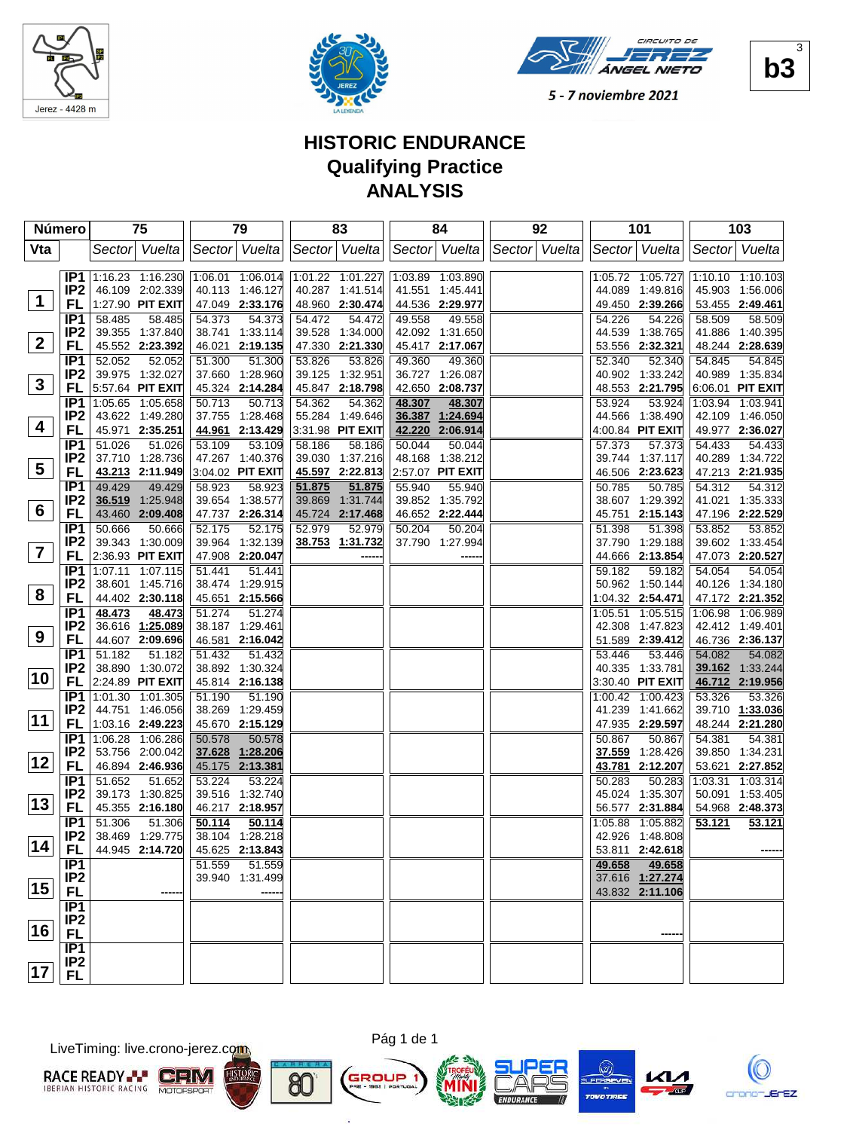





## **HISTORIC ENDURANCE Qualifying Practice ANALYSIS**

|                         | Número                             | 75                                  | 79                                  | 83                                  | 84                                     | 92            | 101                                 | 103                                 |
|-------------------------|------------------------------------|-------------------------------------|-------------------------------------|-------------------------------------|----------------------------------------|---------------|-------------------------------------|-------------------------------------|
| Vta                     |                                    | Sector Vuelta                       | Sector Vuelta                       | Sector Vuelta                       | Sector Vuelta                          | Sector Vuelta | Sector   Vuelta                     | Sector Vuelta                       |
|                         |                                    |                                     |                                     |                                     |                                        |               |                                     |                                     |
|                         | IP <sub>1</sub>                    | 1:16.23 1:16.230                    | 1:06.01 1:06.014                    | 1:01.22 1:01.227                    | 1:03.89 1:03.890                       |               | 1:05.72 1:05.727                    | 1:10.10 1:10.103                    |
|                         | IP <sub>2</sub>                    | 46.109 2:02.339                     | 40.113 1:46.127                     | 40.287 1:41.514                     | 41.551 1:45.441                        |               | 44.089 1:49.816                     | 45.903 1:56.006                     |
| $\mathbf 1$             | FL                                 | 1:27.90 PIT EXIT                    | 47.049 2:33.176                     | 48.960 2:30.474                     | 44.536 2:29.977                        |               | 49.450 2:39.266                     | 53.455 2:49.461                     |
|                         | IP <sub>1</sub>                    | 58.485<br>58.485                    | 54.373<br>54.373                    | 54.472<br>54.472                    | 49.558<br>49.558                       |               | 54.226<br>54.226                    | 58.509<br>58.509                    |
| 2 <sup>2</sup>          | IP <sub>2</sub>                    | 39.355 1:37.840                     | 38.741 1:33.114                     | 39.528 1:34.000                     | 42.092 1:31.650                        |               | 44.539 1:38.765                     | 41.886 1:40.395                     |
|                         | <b>FL</b>                          | 45.552 2:23.392                     | 46.021 2:19.135                     | 47.330 2:21.330                     | 45.417 2:17.067                        |               | 53.556 2:32.321                     | 48.244 2:28.639                     |
|                         | IP <sub>1</sub>                    | 52.052<br>52.052                    | 51.300<br>51.300                    | 53.826<br>53.826                    | 49.360<br>49.360                       |               | 52.340<br>52.340                    | 54.845<br>54.845                    |
| $\mathbf{3}$            | IP <sub>2</sub>                    | 39.975 1:32.027                     | 37.660 1:28.960                     | 39.125 1:32.951                     | 36.727<br>1:26.087                     |               | 40.902 1:33.242                     | 40.989 1:35.834                     |
|                         | FL                                 | 5:57.64 PIT EXIT                    | 45.324 2:14.284                     | 45.847 2:18.798                     | 42.650 2:08.737                        |               | 48.553 2:21.795                     | 6:06.01 PIT EXIT                    |
|                         | IP <sub>1</sub><br>IP <sub>2</sub> | 1:05.65 1:05.658<br>43.622 1:49.280 | 50.713<br>50.713<br>37.755 1:28.468 | 54.362<br>54.362<br>55.284 1:49.646 | 48.307<br>48.307<br>36.387<br>1:24.694 |               | 53.924<br>53.924<br>44.566 1:38.490 | 1:03.94 1:03.941<br>42.109 1:46.050 |
| 4                       | <b>FL</b>                          | 45.971 2:35.251                     | 44.961 2:13.429                     | 3:31.98 PIT EXIT                    | 42.220<br>2:06.914                     |               | 4:00.84 PIT EXIT                    | 49.977 2:36.027                     |
|                         | IP1                                | 51.026<br>51.026                    | 53.109<br>53.109                    | 58.186<br>58.186                    | 50.044<br>50.044                       |               | 57.373<br>57.373                    | 54.433<br>54.433                    |
|                         | IP <sub>2</sub>                    | 37.710 1:28.736                     | 47.267 1:40.376                     | 39.030 1:37.216                     | 48.168<br>1:38.212                     |               | 39.744 1:37.117                     | 40.289 1:34.722                     |
| $\overline{\mathbf{5}}$ | FL                                 | 43.213 2:11.949                     | 3:04.02 PIT EXIT                    | 45.597 2:22.813                     | 2:57.07 PIT EXIT                       |               | 46.506 2:23.623                     | 47.213 2:21.935                     |
|                         | IP <sub>1</sub>                    | 49.429<br>49.429                    | 58.923<br>58.923                    | 51.875<br>51.875                    | 55.940<br>55.940                       |               | 50.785<br>50.785                    | 54.312<br>54.312                    |
|                         | IP <sub>2</sub>                    | 36.519 1:25.948                     | 39.654 1:38.577                     | 39.869 1:31.744                     | 39.852 1:35.792                        |               | 38.607 1:29.392                     | 41.021 1:35.333                     |
| $6\phantom{1}$          | <b>FL</b>                          | 43.460 2:09.408                     | 47.737 2:26.314                     | 45.724 2:17.468                     | 46.652 2:22.444                        |               | 45.751 2:15.143                     | 47.196 2:22.529                     |
|                         | IP <sub>1</sub>                    | 50.666<br>50.666                    | 52.175<br>52.175                    | 52.979<br>52.979                    | 50.204<br>50.204                       |               | 51.398<br>51.398                    | 53.852<br>53.852                    |
|                         | IP <sub>2</sub>                    | 39.343 1:30.009                     | 39.964 1:32.139                     | 38.753 1:31.732                     | 37.790 1:27.994                        |               | 37.790 1:29.188                     | 39.602 1:33.454                     |
| $\overline{\mathbf{7}}$ | FL                                 | 2:36.93 PIT EXIT                    | 47.908 2:20.047                     |                                     |                                        |               | 44.666 2:13.854                     | 47.073 2:20.527                     |
|                         | IP <sub>1</sub>                    | 1:07.11 1:07.115                    | 51.441<br>51.441                    |                                     |                                        |               | 59.182<br>59.182                    | 54.054<br>54.054                    |
|                         | IP <sub>2</sub>                    | 38.601 1:45.716                     | 38.474 1:29.915                     |                                     |                                        |               | 50.962 1:50.144                     | 40.126 1:34.180                     |
| 8                       | <b>FL</b>                          | 44.402 2:30.118                     | 45.651 2:15.566                     |                                     |                                        |               | 1:04.32 2:54.471                    | 47.172 2:21.352                     |
|                         | IP <sub>1</sub>                    | 48.473<br>48.473                    | 51.274<br>51.274                    |                                     |                                        |               | 1:05.51 1:05.515                    | 1:06.98 1:06.989                    |
| 9                       | IP <sub>2</sub>                    | 36.616 1:25.089                     | 38.187 1:29.461                     |                                     |                                        |               | 42.308 1:47.823                     | 42.412 1:49.401                     |
|                         | <b>FL</b>                          | 44.607 2:09.696                     | 46.581 2:16.042                     |                                     |                                        |               | 51.589 2:39.412                     | 46.736 2:36.137                     |
|                         | IP <sub>1</sub><br>IP <sub>2</sub> | 51.182<br>51.182<br>38.890 1:30.072 | 51.432<br>51.432<br>38.892 1:30.324 |                                     |                                        |               | 53.446<br>53.446<br>40.335 1:33.781 | 54.082<br>54.082                    |
| 10                      | FL                                 | 2:24.89 PIT EXIT                    | 45.814 2:16.138                     |                                     |                                        |               | 3:30.40 PIT EXIT                    | 39.162 1:33.244<br>46.712 2:19.956  |
|                         | IP <sub>1</sub>                    | 1:01.30 1:01.305                    | 51.190<br>51.190                    |                                     |                                        |               | 1:00.42 1:00.423                    | 53.326<br>53.326                    |
|                         | IP <sub>2</sub>                    | 44.751 1:46.056                     | 38.269 1:29.459                     |                                     |                                        |               | 41.239 1:41.662                     | 39.710 1:33.036                     |
| 11                      | <b>FL</b>                          | 1:03.16 2:49.223                    | 45.670 2:15.129                     |                                     |                                        |               | 47.935 2:29.597                     | 48.244 2:21.280                     |
|                         | IP <sub>1</sub>                    | 1:06.28 1:06.286                    | 50.578<br>50.578                    |                                     |                                        |               | 50.867<br>50.867                    | 54.381<br>54.381                    |
|                         | IP <sub>2</sub>                    | 53.756 2:00.042                     | 37.628 1:28.206                     |                                     |                                        |               | 37.559<br>1:28.426                  | 39.850 1:34.231                     |
| 12                      | FL                                 | 46.894 2:46.936                     | 45.175 2:13.381                     |                                     |                                        |               | 2:12.207<br>43.781                  | 53.621 2:27.852                     |
|                         | IP1                                | 51.652<br>51.652                    | 53.224<br>53.224                    |                                     |                                        |               | 50.283<br>50.283                    | 1:03.31<br>1:03.314                 |
|                         | IP <sub>2</sub>                    | 39.173 1:30.825                     | 39.516 1:32.740                     |                                     |                                        |               | 45.024 1:35.307                     | 50.091 1:53.405                     |
| 13                      | FL                                 | 45.355 2:16.180                     | 46.217 2:18.957                     |                                     |                                        |               | 56.577<br>2:31.884                  | 54.968 2:48.373                     |
|                         | IP <sub>1</sub>                    | 51.306<br>51.306                    | 50.114<br>50.114                    |                                     |                                        |               | 1:05.88<br>1:05.882                 | 53.121<br>53.121                    |
| $\overline{14}$         | IP <sub>2</sub>                    | 38.469 1:29.775                     | 38.104 1:28.218                     |                                     |                                        |               | 42.926 1:48.808                     |                                     |
|                         | FL                                 | 44.945 2:14.720                     | 45.625 2:13.843                     |                                     |                                        |               | 53.811 2:42.618                     |                                     |
|                         | IP1                                |                                     | 51.559<br>51.559                    |                                     |                                        |               | 49.658<br>49.658                    |                                     |
| 15                      | IP <sub>2</sub>                    |                                     | 39.940 1:31.499                     |                                     |                                        |               | 37.616 1:27.274                     |                                     |
|                         | <b>FL</b>                          |                                     |                                     |                                     |                                        |               | 43.832 2:11.106                     |                                     |
|                         | IP1<br>IP <sub>2</sub>             |                                     |                                     |                                     |                                        |               |                                     |                                     |
| ∣16∣                    | <b>FL</b>                          |                                     |                                     |                                     |                                        |               |                                     |                                     |
|                         | IP1                                |                                     |                                     |                                     |                                        |               |                                     |                                     |
|                         | IP <sub>2</sub>                    |                                     |                                     |                                     |                                        |               |                                     |                                     |
| 17                      | FL.                                |                                     |                                     |                                     |                                        |               |                                     |                                     |
|                         |                                    |                                     |                                     |                                     |                                        |               |                                     |                                     |

LiveTiming: live.crono-jerez.com





n,

8C









**b3**  $\overline{\mathbf{3}}$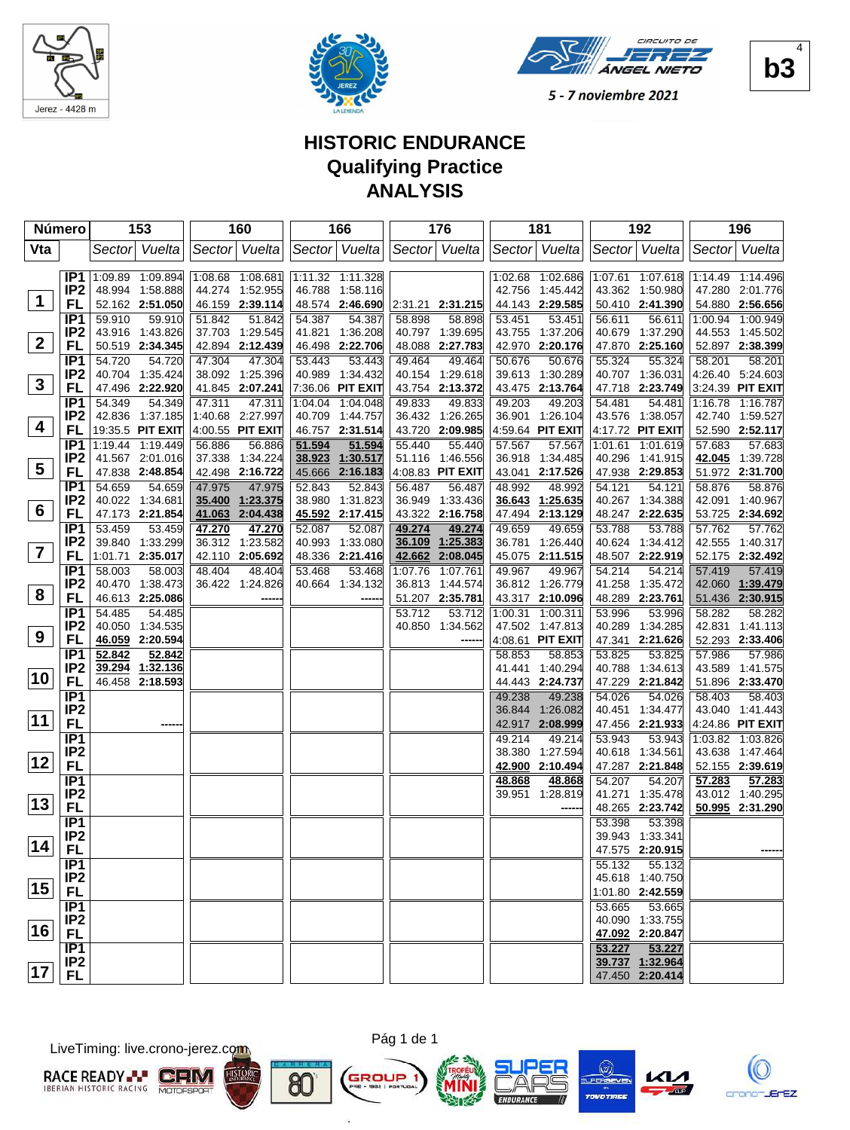





# **HISTORIC ENDURANCE Qualifying Practice ANALYSIS**

|                         | Número          | 153              | 160              | 166                 | 176                 | 181                 | 192                | 196                |
|-------------------------|-----------------|------------------|------------------|---------------------|---------------------|---------------------|--------------------|--------------------|
| Vta                     |                 | Sector Vuelta    | Sector Vuelta    | Sector Vuelta       | Sector Vuelta       | Sector  Vuelta      | Sector Vuelta      | Sector Vuelta      |
|                         |                 |                  |                  |                     |                     |                     |                    |                    |
|                         | IP <sub>1</sub> | 1:09.89 1:09.894 | 1:08.68 1:08.681 | 1:11.32 1:11.328    |                     | 1:02.68 1:02.686    | 1:07.61 1:07.618   | 1:14.49 1:14.496   |
|                         | IP <sub>2</sub> | 48.994 1:58.888  | 44.274 1:52.955  | 46.788 1:58.116     |                     | 42.756 1:45.442     | 43.362 1:50.980    | 47.280 2:01.776    |
| $\mathbf 1$             | FL              | 52.162 2:51.050  | 46.159 2:39.114  | 48.574 2:46.690     | $ 2:31.21$ 2:31.215 | 44.143 2:29.585     | 50.410 2:41.390    | 54.880 2:56.656    |
|                         | IP <sub>1</sub> | 59.910<br>59.910 | 51.842<br>51.842 | 54.387<br>54.387    | 58.898<br>58.898    | 53.451<br>53.451    | 56.611<br>56.611   | 1:00.94 1:00.949   |
|                         | IP <sub>2</sub> | 43.916 1:43.826  | 37.703 1:29.545  | 41.821 1:36.208     | 1:39.695<br>40.797  | 43.755 1:37.206     | 40.679 1:37.290    | 44.553 1:45.502    |
| 2 <sup>2</sup>          | <b>FL</b>       | 50.519 2:34.345  | 42.894 2:12.439  | 46.498 2:22.706     | 48.088<br>2:27.783  | 2:20.176<br>42.970  | 47.870 2:25.160    | 52.897 2:38.399    |
|                         | IP <sub>1</sub> | 54.720<br>54.720 | 47.304<br>47.304 | 53.443<br>53.443    | 49.464<br>49.464    | 50.676<br>50.676    | 55.324<br>55.324   | 58.201<br>58.201   |
|                         | IP <sub>2</sub> | 40.704 1:35.424  | 38.092 1:25.396  | 40.989 1:34.432     | 1:29.618<br>40.154  | 39.613<br>1:30.289  | 40.707 1:36.031    | 4:26.40 5:24.603   |
| $\mathbf{3}$            | <b>FL</b>       | 47.496 2:22.920  | 41.845 2:07.241  | 7:36.06 PIT EXIT    | 2:13.372<br>43.754  | 43.475 2:13.764     | 47.718 2:23.749    | 3:24.39 PIT EXIT   |
|                         | IP <sub>1</sub> | 54.349<br>54.349 | 47.311<br>47.311 | 1:04.048<br>1:04.04 | 49.833<br>49.833    | 49.203<br>49.203    | 54.481<br>54.481   | 1:16.78 1:16.787   |
|                         | IP <sub>2</sub> | 42.836 1:37.185  | 1:40.68 2:27.997 | 40.709 1:44.757     | 36.432 1:26.265     | 36.901 1:26.104     | 43.576 1:38.057    | 42.740 1:59.527    |
| 4                       | FL              | 19:35.5 PIT EXIT | 4:00.55 PIT EXIT | 46.757 2:31.514     | 43.720 2:09.985     | 4:59.64 PIT EXIT    | 4:17.72 PIT EXIT   | 52.590 2:52.117    |
|                         | IP <sub>1</sub> | 1:19.44 1:19.449 | 56.886<br>56.886 | 51.594<br>51.594    | 55.440<br>55.440    | 57.567<br>57.567    | 1:01.61 1:01.619   | 57.683<br>57.683   |
|                         | IP <sub>2</sub> | 41.567 2:01.016  | 37.338 1:34.224  | 38.923<br>1:30.517  | 1:46.556<br>51.116  | 36.918 1:34.485     | 40.296 1:41.915    | 42.045<br>1:39.728 |
| $\overline{\mathbf{5}}$ | FL              | 47.838 2:48.854  | 42.498 2:16.722  | 45.666<br>2:16.183  | 4:08.83 PIT EXIT    | 43.041 2:17.526     | 47.938 2:29.853    | 51.972 2:31.700    |
|                         | IP1             | 54.659<br>54.659 | 47.975<br>47.975 | 52.843<br>52.843    | 56.487<br>56.487    | 48.992<br>48.992    | 54.121<br>54.121   | 58.876<br>58.876   |
|                         | IP <sub>2</sub> | 40.022 1:34.681  | 35.400 1:23.375  | 38.980 1:31.823     | 36.949<br>1:33.436  | 36.643 1:25.635     | 40.267 1:34.388    | 42.091 1:40.967    |
| 6                       | <b>FL</b>       | 47.173 2:21.854  | 41.063 2:04.438  | 45.592 2:17.415     | 43.322 2:16.758     | 47.494 2:13.129     | 48.247 2:22.635    | 53.725 2:34.692    |
|                         | IP <sub>1</sub> | 53.459<br>53.459 | 47.270<br>47.270 | 52.087<br>52.087    | 49.274<br>49.274    | 49.659<br>49.659    | 53.788<br>53.788   | 57.762<br>57.762   |
|                         | IP <sub>2</sub> | 39.840 1:33.299  | 36.312 1:23.582  | 40.993 1:33.080     | 36.109<br>1:25.383  | 36.781 1:26.440     | 40.624 1:34.412    | 42.555 1:40.317    |
| $\overline{7}$          | FL              | 1:01.71 2:35.017 | 42.110 2:05.692  | 48.336 2:21.416     | 2:08.045<br>42.662  | 45.075 2:11.515     | 48.507 2:22.919    | 52.175 2:32.492    |
|                         | IP <sub>1</sub> | 58.003<br>58.003 | 48.404<br>48.404 | 53.468<br>53.468    | 1:07.761<br>1:07.76 | 49.967<br>49.967    | 54.214<br>54.214   | 57.419<br>57.419   |
|                         | IP <sub>2</sub> | 40.470 1:38.473  | 36.422 1:24.826  | 40.664 1:34.132     | 36.813 1:44.574     | 36.812 1:26.779     | 41.258<br>1:35.472 | 42.060 1:39.479    |
| 8                       | <b>FL</b>       | 46.613 2:25.086  |                  |                     | 51.207 2:35.781     | 43.317 2:10.096     | 48.289 2:23.761    | 51.436 2:30.915    |
|                         | IP <sub>1</sub> | 54.485<br>54.485 |                  |                     | 53.712<br>53.712    | 1:00.31<br>1:00.311 | 53.996<br>53.996   | 58.282<br>58.282   |
|                         | IP <sub>2</sub> | 40.050 1:34.535  |                  |                     | 40.850 1:34.562     | 47.502 1:47.813     | 40.289<br>1:34.285 | 42.831 1:41.113    |
| 9                       | <b>FL</b>       | 46.059 2:20.594  |                  |                     |                     | 4:08.61 PIT EXIT    | 47.341<br>2:21.626 | 52.293 2:33.406    |
|                         | IP <sub>1</sub> | 52.842<br>52.842 |                  |                     |                     | 58.853<br>58.853    | 53.825<br>53.825   | 57.986<br>57.986   |
|                         | IP <sub>2</sub> | 39.294 1:32.136  |                  |                     |                     | 41.441 1:40.294     | 40.788<br>1:34.613 | 43.589 1:41.575    |
| 10                      | FL              | 46.458 2:18.593  |                  |                     |                     | 44.443 2:24.737     | 47.229 2:21.842    | 51.896 2:33.470    |
|                         | IP1             |                  |                  |                     |                     | 49.238<br>49.238    | 54.026<br>54.026   | 58.403<br>58.403   |
|                         | IP <sub>2</sub> |                  |                  |                     |                     | 36.844<br>1:26.082  | 40.451<br>1:34.477 | 43.040 1:41.443    |
| 11                      | <b>FL</b>       | ----             |                  |                     |                     | 2:08.999<br>42.917  | 47.456<br>2:21.933 | 4:24.86 PIT EXIT   |
|                         | IP1             |                  |                  |                     |                     | 49.214<br>49.214    | 53.943<br>53.943   | 1:03.82 1:03.826   |
|                         | IP <sub>2</sub> |                  |                  |                     |                     | 1:27.594<br>38.380  | 1:34.561<br>40.618 | 43.638 1:47.464    |
| 12                      | FL              |                  |                  |                     |                     | 2:10.494<br>42.900  | 47.287 2:21.848    | 52.155 2:39.619    |
|                         | IP1             |                  |                  |                     |                     | 48.868<br>48.868    | 54.207<br>54.207   | 57.283<br>57.283   |
|                         | IP <sub>2</sub> |                  |                  |                     |                     | 39.951<br>1:28.819  | 41.271<br>1:35.478 | 43.012 1:40.295    |
| 13                      | <b>FL</b>       |                  |                  |                     |                     |                     | 48.265<br>2:23.742 | 50.995 2:31.290    |
|                         | IP1             |                  |                  |                     |                     |                     | 53.398<br>53.398   |                    |
|                         | IP <sub>2</sub> |                  |                  |                     |                     |                     | 39.943 1:33.341    |                    |
| $\boxed{14}$            | FL              |                  |                  |                     |                     |                     | 47.575 2:20.915    |                    |
|                         | IP1             |                  |                  |                     |                     |                     | 55.132<br>55.132   |                    |
|                         | IP <sub>2</sub> |                  |                  |                     |                     |                     | 45.618 1:40.750    |                    |
| 15                      | <b>FL</b>       |                  |                  |                     |                     |                     | 1:01.80 2:42.559   |                    |
|                         | IP1             |                  |                  |                     |                     |                     | 53.665<br>53.665   |                    |
|                         | IP <sub>2</sub> |                  |                  |                     |                     |                     | 40.090 1:33.755    |                    |
| 16                      | <b>FL</b>       |                  |                  |                     |                     |                     | 47.092 2:20.847    |                    |
|                         | IP1             |                  |                  |                     |                     |                     | 53.227<br>53.227   |                    |
|                         | IP <sub>2</sub> |                  |                  |                     |                     |                     | 39.737 1:32.964    |                    |
| 17                      | <b>FL</b>       |                  |                  |                     |                     |                     | 47.450 2:20.414    |                    |

LiveTiming: live.crono-jerez.com





n,









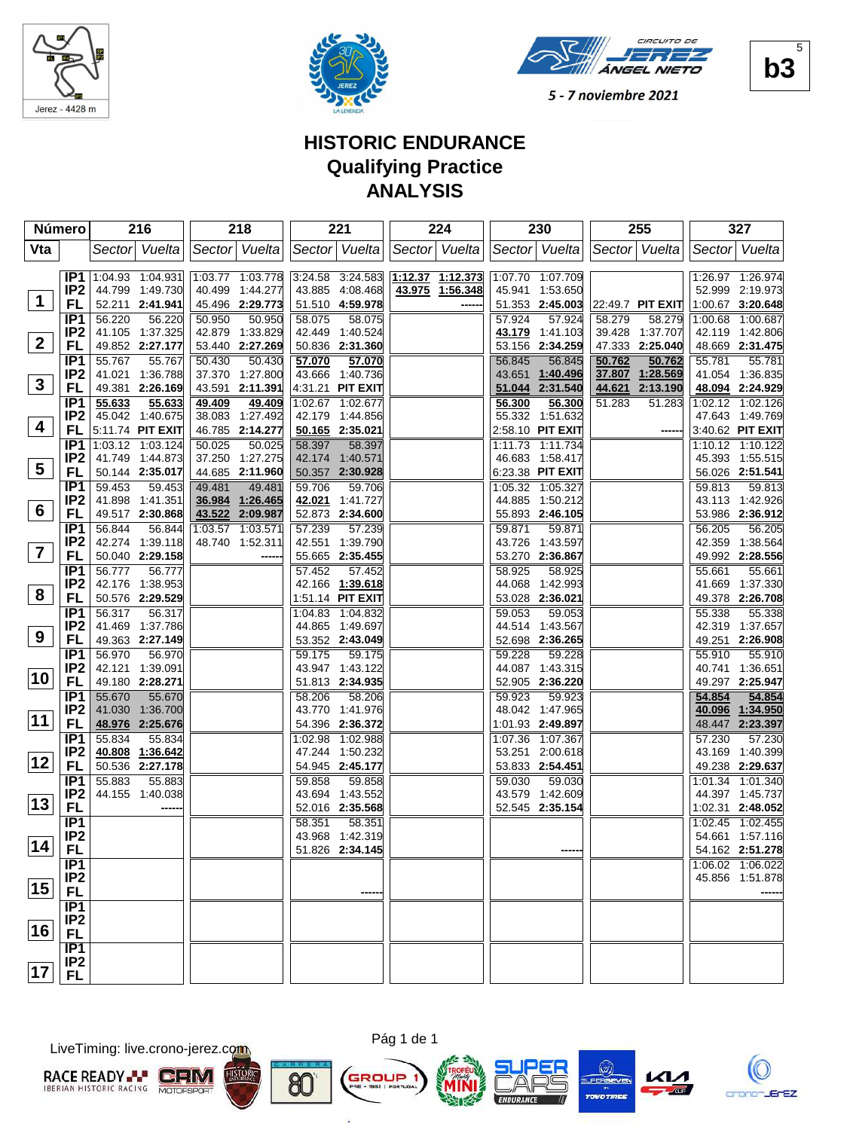





## **HISTORIC ENDURANCE Qualifying Practice ANALYSIS**

|                         | Número                             | 216                                 | 218                                 | 221                                 | 224                | 230                                    | 255                                 | 327                                 |
|-------------------------|------------------------------------|-------------------------------------|-------------------------------------|-------------------------------------|--------------------|----------------------------------------|-------------------------------------|-------------------------------------|
| Vta                     |                                    | Vuelta<br>Sector                    | Sector Vuelta                       | Sector Vuelta                       | Sector Vuelta      | Sector Vuelta                          | Sector Vuelta                       | Vuelta<br>Sector                    |
|                         |                                    |                                     |                                     |                                     |                    |                                        |                                     |                                     |
|                         | IP <sub>1</sub>                    | 1:04.93 1:04.931                    | 1:03.77 1:03.778                    | 3:24.58 3:24.583                    | $1:12.37$ 1:12.373 | 1:07.70 1:07.709                       |                                     | 1:26.97 1:26.974                    |
| $\mathbf 1$             | IP <sub>2</sub>                    | 44.799 1:49.730                     | 40.499 1:44.277                     | 43.885 4:08.468                     | 43.975 1:56.348    | 45.941<br>1:53.650                     |                                     | 52.999 2:19.973                     |
|                         | FL                                 | 52.211 2:41.941                     | 45.496 2:29.773                     | 51.510 4:59.978                     |                    | 51.353 2:45.003                        | 22:49.7 PIT EXIT                    | 1:00.67 3:20.648                    |
|                         | IP <sub>1</sub><br>IP <sub>2</sub> | 56.220<br>56.220<br>41.105 1:37.325 | 50.950<br>50.950<br>42.879 1:33.829 | 58.075<br>58.075<br>42.449 1:40.524 |                    | 57.924<br>57.924<br>43.179<br>1:41.103 | 58.279<br>58.279<br>39.428 1:37.707 | 1:00.68 1:00.687<br>42.119 1:42.806 |
| $\mathbf{2}$            | FL                                 | 49.852 2:27.177                     | 53.440 2:27.269                     | 50.836 2:31.360                     |                    | 2:34.259<br>53.156                     | 47.333 2:25.040                     | 48.669 2:31.475                     |
|                         | IP <sub>1</sub>                    | 55.767<br>55.767                    | 50.430<br>50.430                    | 57.070<br>57.070                    |                    | 56.845<br>56.845                       | 50.762<br>50.762                    | 55.781<br>55.781                    |
|                         | IP <sub>2</sub>                    | 41.021<br>1:36.788                  | 37.370 1:27.800                     | 43.666<br>1:40.736                  |                    | 43.651<br>1:40.496                     | 37.807<br>1:28.569                  | 41.054 1:36.835                     |
| $\mathbf{3}$            | FL                                 | 49.381 2:26.169                     | 43.591 2:11.391                     | 4:31.21 PIT EXIT                    |                    | 51.044 2:31.540                        | 44.621<br>2:13.190                  | 48.094 2:24.929                     |
|                         | IP1                                | 55.633<br>55.633                    | 49.409<br>49.409                    | 1:02.67 1:02.677                    |                    | 56,300<br>56.300                       | 51.283<br>51.283                    | 1:02.12 1:02.126                    |
|                         | IP <sub>2</sub>                    | 45.042 1:40.675                     | 38.083 1:27.492                     | 42.179<br>1:44.856                  |                    | 55.332<br>1:51.632                     |                                     | 47.643 1:49.769                     |
| 4                       | FL                                 | 5:11.74 PIT EXIT                    | 46.785 2:14.277                     | 50.165 2:35.021                     |                    | 2:58.10 PIT EXIT                       |                                     | 3:40.62 PIT EXIT                    |
|                         | IP1                                | 1:03.12 1:03.124                    | 50.025<br>50.025                    | 58.397<br>58.397                    |                    | 1:11.734<br>1:11.73                    |                                     | 1:10.12 1:10.122                    |
| 5                       | IP <sub>2</sub>                    | 41.749 1:44.873                     | 37.250 1:27.275                     | 42.174 1:40.571                     |                    | 46.683 1:58.417                        |                                     | 45.393 1:55.515                     |
|                         | FL                                 | 50.144 2:35.017                     | 44.685 2:11.960                     | 50.357 2:30.928                     |                    | 6:23.38 PIT EXIT                       |                                     | 56.026 2:51.541                     |
|                         | IP <sub>1</sub><br>IP <sub>2</sub> | 59.453<br>59.453<br>41.898 1:41.351 | 49.481<br>49.481<br>36.984 1:26.465 | 59.706<br>59.706<br>42.021 1:41.727 |                    | 1:05.32 1:05.327<br>44.885<br>1:50.212 |                                     | 59.813<br>59.813<br>43.113 1:42.926 |
| 6                       | <b>FL</b>                          | 49.517 2:30.868                     | 43.522 2:09.987                     | 52.873 2:34.600                     |                    | 55.893 2:46.105                        |                                     | 53.986 2:36.912                     |
|                         | IP <sub>1</sub>                    | 56.844<br>56.844                    | 1:03.57 1:03.571                    | 57.239<br>57.239                    |                    | 59.871<br>59.871                       |                                     | 56.205<br>56.205                    |
|                         | IP <sub>2</sub>                    | 42.274 1:39.118                     | 48.740 1:52.311                     | 42.551 1:39.790                     |                    | 43.726<br>1:43.597                     |                                     | 42.359<br>1:38.564                  |
| $\overline{\mathbf{z}}$ | FL                                 | 50.040 2:29.158                     |                                     | 55.665 2:35.455                     |                    | 53.270 2:36.867                        |                                     | 49.992 2:28.556                     |
|                         | IP <sub>1</sub>                    | 56.777<br>56.777                    |                                     | 57.452<br>57.452                    |                    | 58.925<br>58.925                       |                                     | 55.661<br>55.661                    |
|                         | IP <sub>2</sub>                    | 42.176 1:38.953                     |                                     | 42.166 1:39.618                     |                    | 44.068<br>1:42.993                     |                                     | 41.669 1:37.330                     |
| 8                       | <b>FL</b>                          | 50.576 2:29.529                     |                                     | 1:51.14 PIT EXIT                    |                    | 53.028 2:36.021                        |                                     | 49.378 2:26.708                     |
|                         | IP <sub>1</sub>                    | 56.317<br>56.317                    |                                     | 1:04.83 1:04.832                    |                    | 59.053<br>59.053                       |                                     | 55.338<br>55.338                    |
| 9                       | IP <sub>2</sub>                    | 41.469 1:37.786                     |                                     | 44.865 1:49.697                     |                    | 44.514 1:43.567                        |                                     | 42.319 1:37.657                     |
|                         | FL                                 | 49.363 2:27.149                     |                                     | 53.352 2:43.049                     |                    | 52.698 2:36.265                        |                                     | 49.251<br>2:26.908                  |
|                         | IP <sub>1</sub><br>IP <sub>2</sub> | 56.970<br>56.970<br>42.121 1:39.091 |                                     | 59.175<br>59.175<br>43.947 1:43.122 |                    | 59.228<br>59.228<br>44.087 1:43.315    |                                     | 55.910<br>55.910<br>40.741 1:36.651 |
| 10                      | FL                                 | 49.180 2:28.271                     |                                     | 51.813 2:34.935                     |                    | 52.905 2:36.220                        |                                     | 49.297 2:25.947                     |
|                         | IP <sub>1</sub>                    | 55.670<br>55.670                    |                                     | 58.206<br>58.206                    |                    | 59.923<br>59.923                       |                                     | 54.854<br>54.854                    |
|                         | IP <sub>2</sub>                    | 41.030 1:36.700                     |                                     | 43.770 1:41.976                     |                    | 48.042 1:47.965                        |                                     | 40.096<br>1:34.950                  |
| 11                      | <b>FL</b>                          | 48.976 2:25.676                     |                                     | 54.396 2:36.372                     |                    | 1:01.93 2:49.897                       |                                     | 2:23.397<br>48.447                  |
|                         | IP <sub>1</sub>                    | 55.834<br>55.834                    |                                     | 1:02.988<br>1:02.98                 |                    | 1:07.36<br>1:07.367                    |                                     | 57.230<br>57.230                    |
|                         | IP <sub>2</sub>                    | 40.808 1:36.642                     |                                     | 47.244 1:50.232                     |                    | 53.251<br>2:00.618                     |                                     | 43.169 1:40.399                     |
| 12                      | <b>FL</b>                          | 50.536 2:27.178                     |                                     | 54.945 2:45.177                     |                    | 53.833 2:54.451                        |                                     | 49.238 2:29.637                     |
|                         | IP <sub>1</sub>                    | 55.883<br>55.883                    |                                     | 59.858<br>59.858                    |                    | 59.030<br>59.030                       |                                     | 1:01.34 1:01.340                    |
| 13                      | IP <sub>2</sub>                    | 44.155 1:40.038                     |                                     | 43.694 1:43.552                     |                    | 43.579 1:42.609                        |                                     | 44.397 1:45.737                     |
|                         | <b>FL</b>                          |                                     |                                     | 52.016 2:35.568                     |                    | 52.545 2:35.154                        |                                     | 1:02.31 2:48.052                    |
|                         | IP1<br>IP <sub>2</sub>             |                                     |                                     | 58.351<br>58.351<br>43.968 1:42.319 |                    |                                        |                                     | 1:02.45 1:02.455<br>54.661 1:57.116 |
| 14                      | <b>FL</b>                          |                                     |                                     | 51.826 2:34.145                     |                    |                                        |                                     | 54.162 2:51.278                     |
|                         | IP1                                |                                     |                                     |                                     |                    |                                        |                                     | 1:06.02 1:06.022                    |
|                         | IP <sub>2</sub>                    |                                     |                                     |                                     |                    |                                        |                                     | 45.856 1:51.878                     |
| 15                      | <b>FL</b>                          |                                     |                                     |                                     |                    |                                        |                                     |                                     |
|                         | IP1                                |                                     |                                     |                                     |                    |                                        |                                     |                                     |
|                         | IP <sub>2</sub>                    |                                     |                                     |                                     |                    |                                        |                                     |                                     |
| 16                      | <b>FL</b>                          |                                     |                                     |                                     |                    |                                        |                                     |                                     |
|                         | IP1                                |                                     |                                     |                                     |                    |                                        |                                     |                                     |
| 17                      | IP <sub>2</sub>                    |                                     |                                     |                                     |                    |                                        |                                     |                                     |
|                         | <b>FL</b>                          |                                     |                                     |                                     |                    |                                        |                                     |                                     |

LiveTiming: live.crono-jerez.com





8C







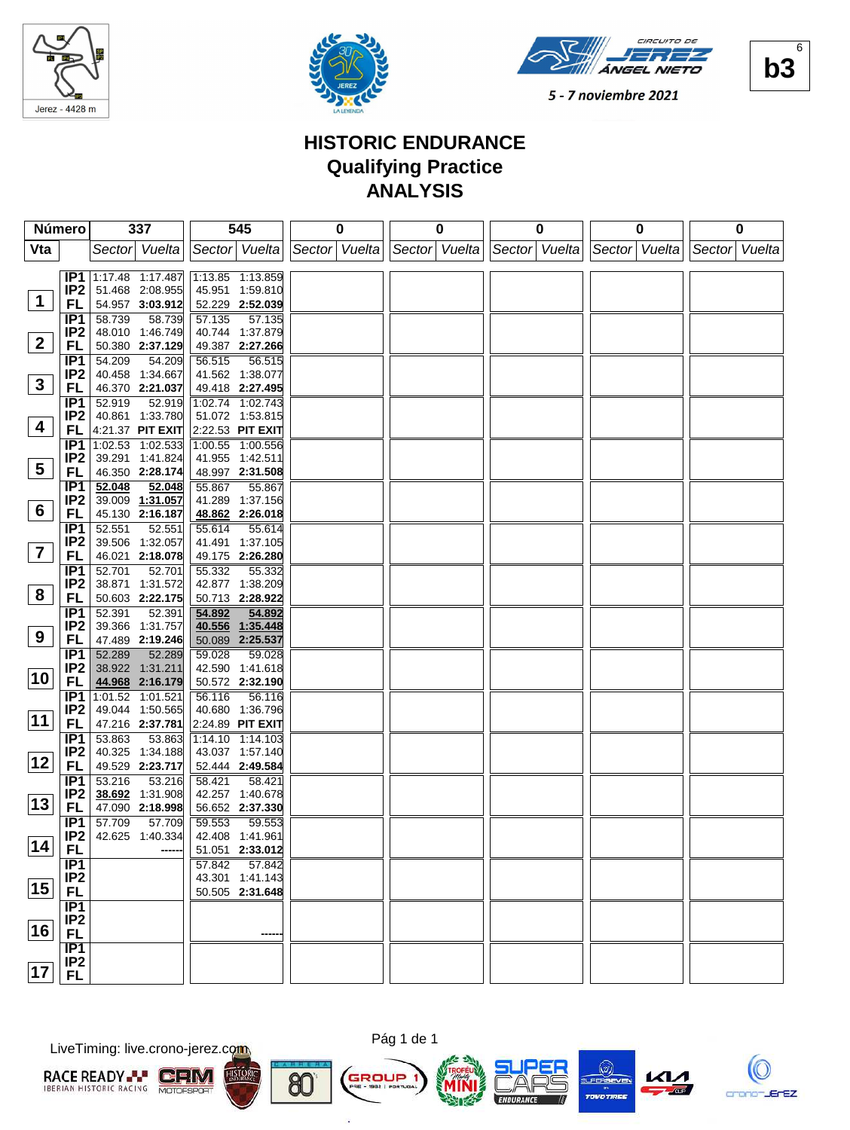





## **HISTORIC ENDURANCE Qualifying Practice ANALYSIS**

|                | Número                             | 337                                 | 545                                 | 0             | 0 | 0 |                                           | 0 |               | 0 |
|----------------|------------------------------------|-------------------------------------|-------------------------------------|---------------|---|---|-------------------------------------------|---|---------------|---|
| Vta            |                                    | Sector Vuelta                       | Sector Vuelta                       | Sector Vuelta |   |   | Sector Vuelta Sector Vuelta Sector Vuelta |   | Sector Vuelta |   |
|                |                                    |                                     |                                     |               |   |   |                                           |   |               |   |
|                |                                    | <b>IP1</b> 1:17.48 1:17.487         | 1:13.85 1:13.859                    |               |   |   |                                           |   |               |   |
| $\mathbf 1$    | IP <sub>2</sub>                    | 51.468 2:08.955                     | 45.951 1:59.810                     |               |   |   |                                           |   |               |   |
|                | FL                                 | 54.957 3:03.912                     | 52.229 2:52.039                     |               |   |   |                                           |   |               |   |
|                | IP <sub>1</sub>                    | 58.739<br>58.739                    | 57.135<br>57.135                    |               |   |   |                                           |   |               |   |
| $\mathbf{2}$   | IP <sub>2</sub>                    | 48.010 1:46.749                     | 40.744 1:37.879                     |               |   |   |                                           |   |               |   |
|                | FL                                 | 50.380 2:37.129                     | 49.387 2:27.266                     |               |   |   |                                           |   |               |   |
|                | IP1<br>IP <sub>2</sub>             | 54.209<br>54.209<br>40.458 1:34.667 | 56.515<br>56.515<br>41.562 1:38.077 |               |   |   |                                           |   |               |   |
| $3\phantom{a}$ | FL                                 | 46.370 2:21.037                     | 49.418 2:27.495                     |               |   |   |                                           |   |               |   |
|                | IP <sub>1</sub>                    | 52.919<br>52.919                    | 1:02.74 1:02.743                    |               |   |   |                                           |   |               |   |
|                | IP <sub>2</sub>                    | 40.861 1:33.780                     | 51.072 1:53.815                     |               |   |   |                                           |   |               |   |
| 4              | FL                                 | 4:21.37 PIT EXIT                    | 2:22.53 PIT EXIT                    |               |   |   |                                           |   |               |   |
|                | IP <sub>1</sub>                    | 1:02.53 1:02.533                    | 1:00.55 1:00.556                    |               |   |   |                                           |   |               |   |
|                | IP <sub>2</sub>                    | 39.291 1:41.824                     | 41.955 1:42.511                     |               |   |   |                                           |   |               |   |
| 5              | <b>FL</b>                          | 46.350 2:28.174                     | 48.997 2:31.508                     |               |   |   |                                           |   |               |   |
|                | IP <sub>1</sub>                    | 52.048<br>52.048                    | 55.867<br>55.867                    |               |   |   |                                           |   |               |   |
|                | IP <sub>2</sub>                    | 39.009 1:31.057                     | 41.289 1:37.156                     |               |   |   |                                           |   |               |   |
| 6              | <b>FL</b>                          | 45.130 2:16.187                     | 48.862 2:26.018                     |               |   |   |                                           |   |               |   |
|                | IP <sub>1</sub>                    | 52.551<br>52.551                    | 55.614<br>55.614                    |               |   |   |                                           |   |               |   |
| $\overline{7}$ | IP <sub>2</sub>                    | 39.506 1:32.057                     | 41.491 1:37.105                     |               |   |   |                                           |   |               |   |
|                | <b>FL</b>                          | 46.021 2:18.078                     | 49.175 2:26.280                     |               |   |   |                                           |   |               |   |
|                | IP <sub>1</sub>                    | 52.701<br>52.701                    | 55.332<br>55.332                    |               |   |   |                                           |   |               |   |
| 8              | IP <sub>2</sub><br>FL              | 38.871 1:31.572<br>50.603 2:22.175  | 42.877 1:38.209<br>50.713 2:28.922  |               |   |   |                                           |   |               |   |
|                | IP <sub>1</sub>                    | 52.391<br>52.391                    | 54.892<br>54.892                    |               |   |   |                                           |   |               |   |
|                | IP <sub>2</sub>                    | 39.366 1:31.757                     | 40.556 1:35.448                     |               |   |   |                                           |   |               |   |
| 9              | FL                                 | 47.489 2:19.246                     | 50.089 2:25.537                     |               |   |   |                                           |   |               |   |
|                | IP <sub>1</sub>                    | 52.289<br>52.289                    | 59.028<br>59.028                    |               |   |   |                                           |   |               |   |
|                | IP <sub>2</sub>                    | 38.922 1:31.211                     | 42.590 1:41.618                     |               |   |   |                                           |   |               |   |
| 10             | <b>FL</b>                          | 44.968 2:16.179                     | 50.572 2:32.190                     |               |   |   |                                           |   |               |   |
|                | IP <sub>1</sub>                    | $\overline{1:01.52}$ 1:01.521       | 56.116<br>56.116                    |               |   |   |                                           |   |               |   |
|                | IP <sub>2</sub>                    | 49.044 1:50.565                     | 40.680 1:36.796                     |               |   |   |                                           |   |               |   |
| 11             | FL                                 | 47.216 2:37.781                     | 2:24.89 PIT EXIT                    |               |   |   |                                           |   |               |   |
|                | IP <sub>1</sub>                    | 53.863<br>53.863                    | 1:14.10 1:14.103                    |               |   |   |                                           |   |               |   |
| 12             | IP <sub>2</sub>                    | 1:34.188<br>40.325                  | 43.037 1:57.140                     |               |   |   |                                           |   |               |   |
|                | FL                                 | 49.529 2:23.717                     | 52.444 2:49.584                     |               |   |   |                                           |   |               |   |
|                | IP <sub>1</sub><br>IP <sub>2</sub> | 53.216<br>53.216<br>38.692 1:31.908 | 58.421<br>58.421<br>42.257 1:40.678 |               |   |   |                                           |   |               |   |
| 13             | FL                                 | 47.090 2:18.998                     | 56.652 2:37.330                     |               |   |   |                                           |   |               |   |
|                | IP <sub>1</sub>                    | 57.709<br>57.709                    | 59.553<br>59.553                    |               |   |   |                                           |   |               |   |
|                | IP <sub>2</sub>                    | 42.625 1:40.334                     | 42.408 1:41.961                     |               |   |   |                                           |   |               |   |
| $\sqrt{14}$    | <b>FL</b>                          |                                     | 51.051 2:33.012                     |               |   |   |                                           |   |               |   |
|                | IP1                                |                                     | 57.842<br>57.842                    |               |   |   |                                           |   |               |   |
|                | IP <sub>2</sub>                    |                                     | 43.301 1:41.143                     |               |   |   |                                           |   |               |   |
| 15             | <b>FL</b>                          |                                     | 50.505 2:31.648                     |               |   |   |                                           |   |               |   |
|                | IP1                                |                                     |                                     |               |   |   |                                           |   |               |   |
| 16             | IP <sub>2</sub>                    |                                     |                                     |               |   |   |                                           |   |               |   |
|                | <b>FL</b>                          |                                     |                                     |               |   |   |                                           |   |               |   |
|                | IP1<br>IP <sub>2</sub>             |                                     |                                     |               |   |   |                                           |   |               |   |
| 17             | <b>FL</b>                          |                                     |                                     |               |   |   |                                           |   |               |   |
|                |                                    |                                     |                                     |               |   |   |                                           |   |               |   |

LiveTiming: live.crono-jerez.com





n,









**b3**  $\overline{\mathbf{r}}$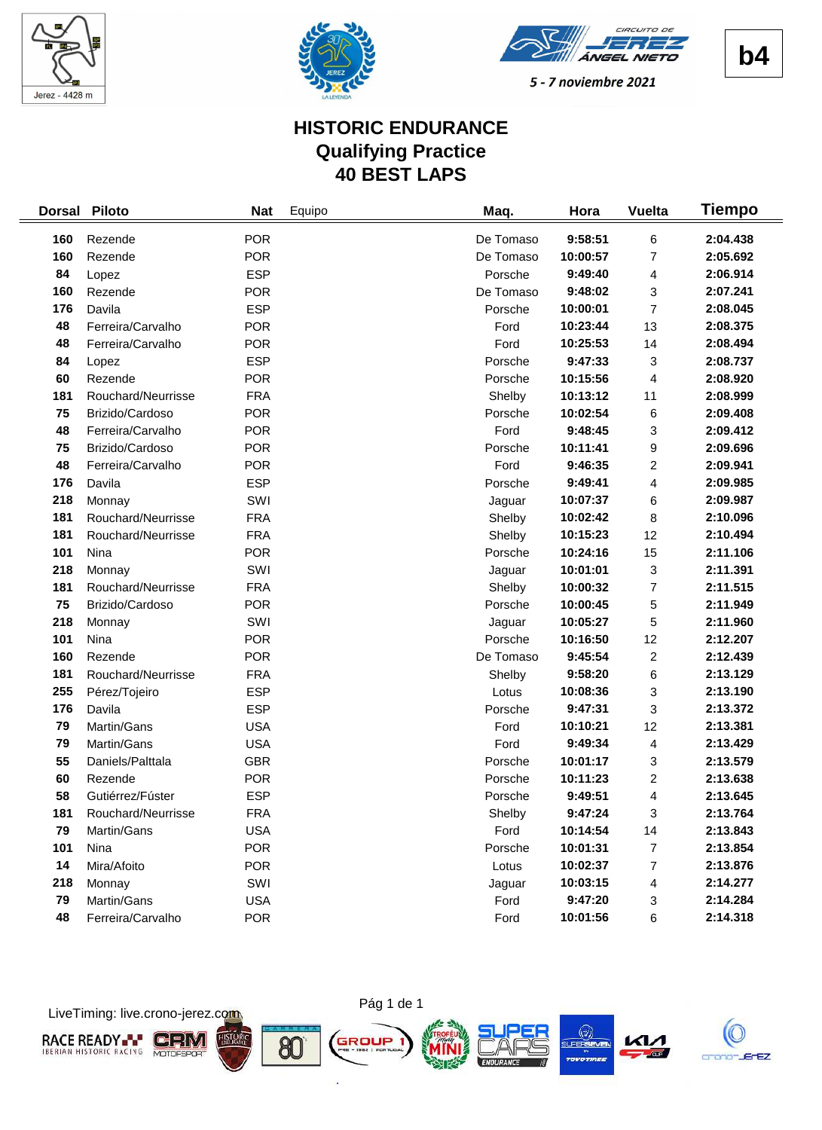





# **HISTORIC ENDURANCE Qualifying Practice 40 BEST LAPS**

| <b>Dorsal</b> | <b>Piloto</b>      | <b>Nat</b> | Equipo | Maq.      | Hora     | <b>Vuelta</b>           | Tiempo   |
|---------------|--------------------|------------|--------|-----------|----------|-------------------------|----------|
| 160           | Rezende            | <b>POR</b> |        | De Tomaso | 9:58:51  | 6                       | 2:04.438 |
| 160           | Rezende            | <b>POR</b> |        | De Tomaso | 10:00:57 | 7                       | 2:05.692 |
| 84            | Lopez              | <b>ESP</b> |        | Porsche   | 9:49:40  | 4                       | 2:06.914 |
| 160           | Rezende            | <b>POR</b> |        | De Tomaso | 9:48:02  | 3                       | 2:07.241 |
| 176           | Davila             | <b>ESP</b> |        | Porsche   | 10:00:01 | $\overline{7}$          | 2:08.045 |
| 48            | Ferreira/Carvalho  | <b>POR</b> |        | Ford      | 10:23:44 | 13                      | 2:08.375 |
| 48            | Ferreira/Carvalho  | <b>POR</b> |        | Ford      | 10:25:53 | 14                      | 2:08.494 |
| 84            | Lopez              | <b>ESP</b> |        | Porsche   | 9:47:33  | 3                       | 2:08.737 |
| 60            | Rezende            | <b>POR</b> |        | Porsche   | 10:15:56 | 4                       | 2:08.920 |
| 181           | Rouchard/Neurrisse | <b>FRA</b> |        | Shelby    | 10:13:12 | 11                      | 2:08.999 |
| 75            | Brizido/Cardoso    | <b>POR</b> |        | Porsche   | 10:02:54 | 6                       | 2:09.408 |
| 48            | Ferreira/Carvalho  | <b>POR</b> |        | Ford      | 9:48:45  | 3                       | 2:09.412 |
| 75            | Brizido/Cardoso    | <b>POR</b> |        | Porsche   | 10:11:41 | 9                       | 2:09.696 |
| 48            | Ferreira/Carvalho  | <b>POR</b> |        | Ford      | 9:46:35  | 2                       | 2:09.941 |
| 176           | Davila             | <b>ESP</b> |        | Porsche   | 9:49:41  | 4                       | 2:09.985 |
| 218           | Monnay             | SWI        |        | Jaguar    | 10:07:37 | 6                       | 2:09.987 |
| 181           | Rouchard/Neurrisse | <b>FRA</b> |        | Shelby    | 10:02:42 | 8                       | 2:10.096 |
| 181           | Rouchard/Neurrisse | <b>FRA</b> |        | Shelby    | 10:15:23 | 12                      | 2:10.494 |
| 101           | Nina               | <b>POR</b> |        | Porsche   | 10:24:16 | 15                      | 2:11.106 |
| 218           | Monnay             | SWI        |        | Jaguar    | 10:01:01 | 3                       | 2:11.391 |
| 181           | Rouchard/Neurrisse | <b>FRA</b> |        | Shelby    | 10:00:32 | $\overline{7}$          | 2:11.515 |
| 75            | Brizido/Cardoso    | <b>POR</b> |        | Porsche   | 10:00:45 | 5                       | 2:11.949 |
| 218           | Monnay             | SWI        |        | Jaguar    | 10:05:27 | 5                       | 2:11.960 |
| 101           | Nina               | <b>POR</b> |        | Porsche   | 10:16:50 | 12                      | 2:12.207 |
| 160           | Rezende            | <b>POR</b> |        | De Tomaso | 9:45:54  | $\overline{\mathbf{c}}$ | 2:12.439 |
| 181           | Rouchard/Neurrisse | <b>FRA</b> |        | Shelby    | 9:58:20  | 6                       | 2:13.129 |
| 255           | Pérez/Tojeiro      | <b>ESP</b> |        | Lotus     | 10:08:36 | 3                       | 2:13.190 |
| 176           | Davila             | <b>ESP</b> |        | Porsche   | 9:47:31  | 3                       | 2:13.372 |
| 79            | Martin/Gans        | <b>USA</b> |        | Ford      | 10:10:21 | 12                      | 2:13.381 |
| 79            | Martin/Gans        | <b>USA</b> |        | Ford      | 9:49:34  | 4                       | 2:13.429 |
| 55            | Daniels/Palttala   | <b>GBR</b> |        | Porsche   | 10:01:17 | 3                       | 2:13.579 |
| 60            | Rezende            | <b>POR</b> |        | Porsche   | 10:11:23 | 2                       | 2:13.638 |
| 58            | Gutiérrez/Fúster   | <b>ESP</b> |        | Porsche   | 9:49:51  | 4                       | 2:13.645 |
| 181           | Rouchard/Neurrisse | <b>FRA</b> |        | Shelby    | 9:47:24  | 3                       | 2:13.764 |
| 79            | Martin/Gans        | <b>USA</b> |        | Ford      | 10:14:54 | 14                      | 2:13.843 |
| 101           | Nina               | <b>POR</b> |        | Porsche   | 10:01:31 | 7                       | 2:13.854 |
| 14            | Mira/Afoito        | <b>POR</b> |        | Lotus     | 10:02:37 | 7                       | 2:13.876 |
| 218           | Monnay             | SWI        |        | Jaguar    | 10:03:15 | 4                       | 2:14.277 |
| 79            | Martin/Gans        | <b>USA</b> |        | Ford      | 9:47:20  | 3                       | 2:14.284 |
| 48            | Ferreira/Carvalho  | <b>POR</b> |        | Ford      | 10:01:56 | 6                       | 2:14.318 |

LiveTiming: live.crono-jerez.com



ò.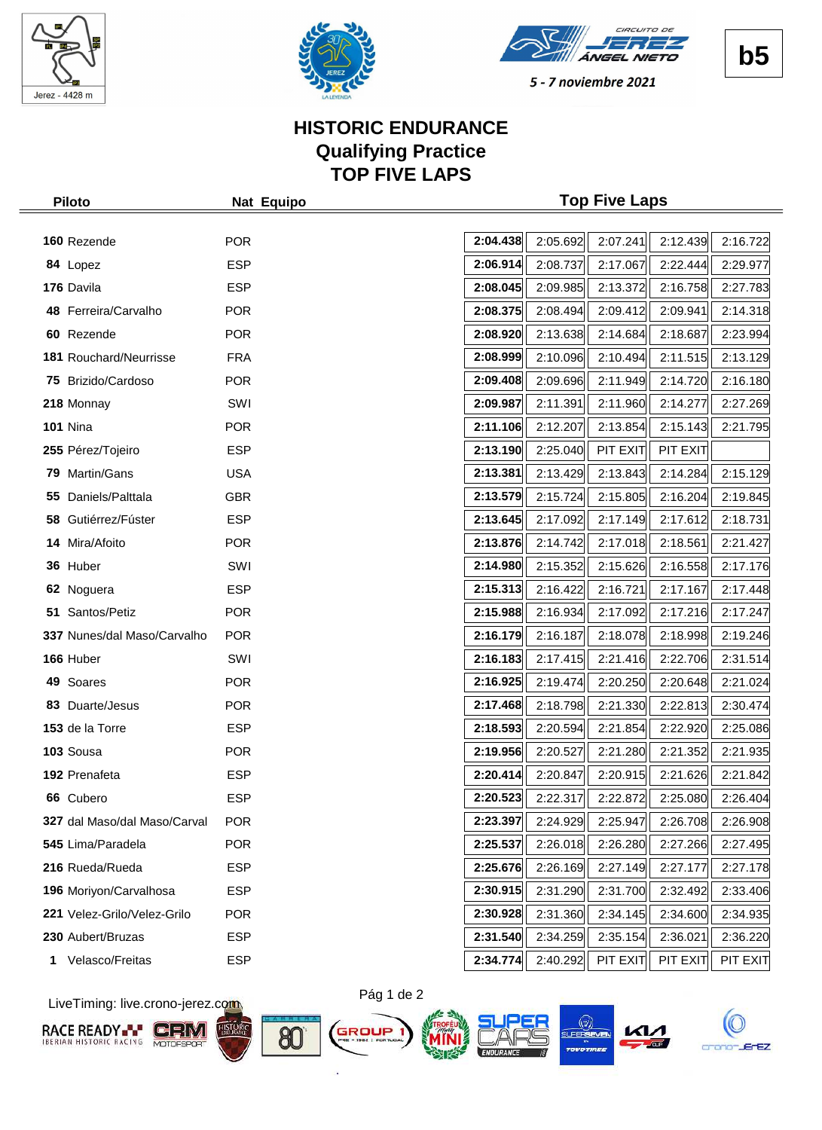





## **HISTORIC ENDURANCE Qualifying Practice TOP FIVE LAPS**

| <b>Piloto</b>                | Nat Equipo | <b>Top Five Laps</b> |          |          |          |          |
|------------------------------|------------|----------------------|----------|----------|----------|----------|
|                              |            |                      |          |          |          |          |
| 160 Rezende                  | <b>POR</b> | 2:04.438             | 2:05.692 | 2:07.241 | 2:12.439 | 2:16.722 |
| 84 Lopez                     | <b>ESP</b> | 2:06.914             | 2:08.737 | 2:17.067 | 2:22.444 | 2:29.977 |
| 176 Davila                   | <b>ESP</b> | 2:08.045             | 2:09.985 | 2:13.372 | 2:16.758 | 2:27.783 |
| 48 Ferreira/Carvalho         | <b>POR</b> | 2:08.375             | 2:08.494 | 2:09.412 | 2:09.941 | 2:14.318 |
| 60 Rezende                   | <b>POR</b> | 2:08.920             | 2:13.638 | 2:14.684 | 2:18.687 | 2:23.994 |
| 181 Rouchard/Neurrisse       | <b>FRA</b> | 2:08.999             | 2:10.096 | 2:10.494 | 2:11.515 | 2:13.129 |
| 75 Brizido/Cardoso           | <b>POR</b> | 2:09.408             | 2:09.696 | 2:11.949 | 2:14.720 | 2:16.180 |
| 218 Monnay                   | SWI        | 2:09.987             | 2:11.391 | 2:11.960 | 2:14.277 | 2:27.269 |
| <b>101 Nina</b>              | <b>POR</b> | 2:11.106             | 2:12.207 | 2:13.854 | 2:15.143 | 2:21.795 |
| 255 Pérez/Tojeiro            | <b>ESP</b> | 2:13.190             | 2:25.040 | PIT EXIT | PIT EXIT |          |
| 79 Martin/Gans               | <b>USA</b> | 2:13.381             | 2:13.429 | 2:13.843 | 2:14.284 | 2:15.129 |
| Daniels/Palttala<br>55       | <b>GBR</b> | 2:13.579             | 2:15.724 | 2:15.805 | 2:16.204 | 2:19.845 |
| 58 Gutiérrez/Fúster          | <b>ESP</b> | 2:13.645             | 2:17.092 | 2:17.149 | 2:17.612 | 2:18.731 |
| 14 Mira/Afoito               | <b>POR</b> | 2:13.876             | 2:14.742 | 2:17.018 | 2:18.561 | 2:21.427 |
| 36 Huber                     | SWI        | 2:14.980             | 2:15.352 | 2:15.626 | 2:16.558 | 2:17.176 |
| 62 Noguera                   | <b>ESP</b> | 2:15.313             | 2:16.422 | 2:16.721 | 2:17.167 | 2:17.448 |
| 51 Santos/Petiz              | <b>POR</b> | 2:15.988             | 2:16.934 | 2:17.092 | 2:17.216 | 2:17.247 |
| 337 Nunes/dal Maso/Carvalho  | <b>POR</b> | 2:16.179             | 2:16.187 | 2:18.078 | 2:18.998 | 2:19.246 |
| 166 Huber                    | SWI        | 2:16.183             | 2:17.415 | 2:21.416 | 2:22.706 | 2:31.514 |
| 49 Soares                    | <b>POR</b> | 2:16.925             | 2:19.474 | 2:20.250 | 2:20.648 | 2:21.024 |
| 83 Duarte/Jesus              | <b>POR</b> | 2:17.468             | 2:18.798 | 2:21.330 | 2:22.813 | 2:30.474 |
| 153 de la Torre              | <b>ESP</b> | 2:18.593             | 2:20.594 | 2:21.854 | 2:22.920 | 2:25.086 |
| 103 Sousa                    | <b>POR</b> | 2:19.956             | 2:20.527 | 2:21.280 | 2:21.352 | 2:21.935 |
| 192 Prenafeta                | <b>ESP</b> | 2:20.414             | 2:20.847 | 2:20.915 | 2:21.626 | 2:21.842 |
| 66 Cubero                    | <b>ESP</b> | 2:20.523             | 2:22.317 | 2:22.872 | 2:25.080 | 2:26.404 |
| 327 dal Maso/dal Maso/Carval | <b>POR</b> | 2:23.397             | 2:24.929 | 2:25.947 | 2:26.708 | 2:26.908 |
| 545 Lima/Paradela            | <b>POR</b> | 2:25.537             | 2:26.018 | 2:26.280 | 2:27.266 | 2:27.495 |
| 216 Rueda/Rueda              | <b>ESP</b> | 2:25.676             | 2:26.169 | 2:27.149 | 2:27.177 | 2:27.178 |
| 196 Moriyon/Carvalhosa       | <b>ESP</b> | 2:30.915             | 2:31.290 | 2:31.700 | 2:32.492 | 2:33.406 |
| 221 Velez-Grilo/Velez-Grilo  | <b>POR</b> | 2:30.928             | 2:31.360 | 2:34.145 | 2:34.600 | 2:34.935 |
| 230 Aubert/Bruzas            | <b>ESP</b> | 2:31.540             | 2:34.259 | 2:35.154 | 2:36.021 | 2:36.220 |
| Velasco/Freitas<br>1.        | <b>ESP</b> | 2:34.774             | 2:40.292 | PIT EXIT | PIT EXIT | PIT EXIT |

LiveTiming: live.crono-jerez.com













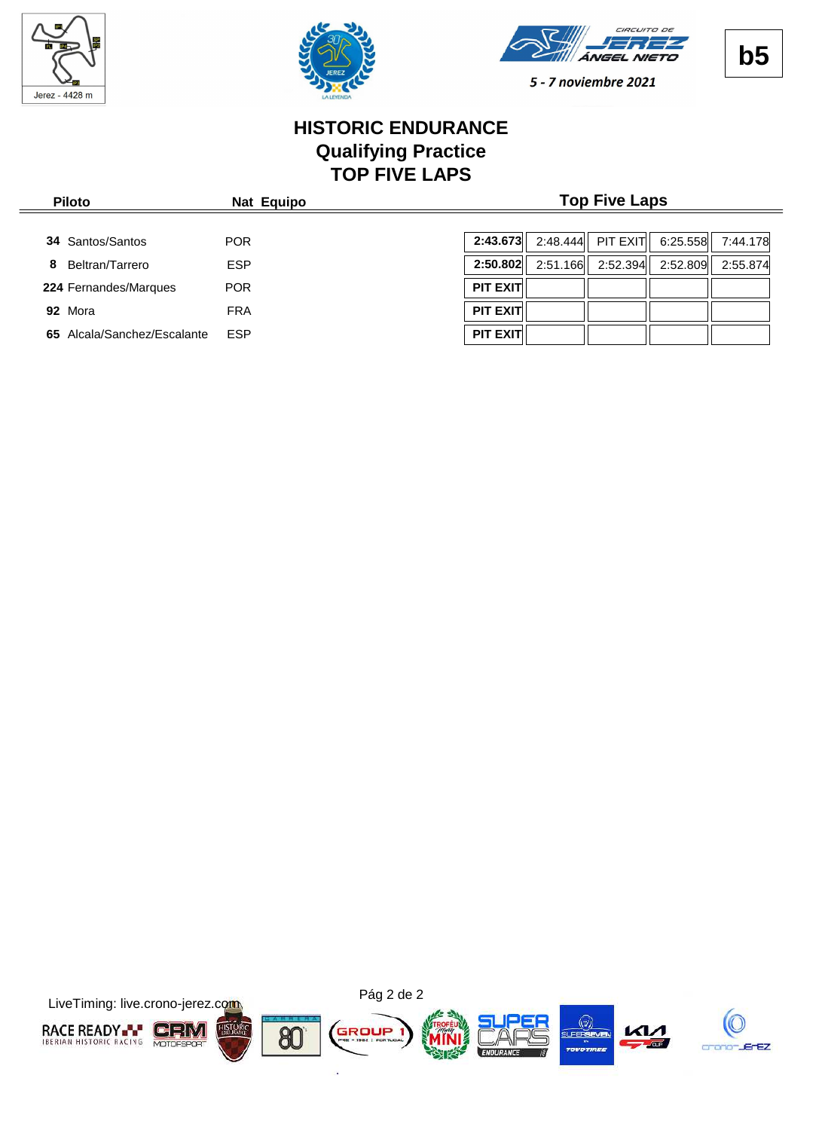

 $\frac{1}{2}$ 





5 - 7 noviembre 2021

## **HISTORIC ENDURANCE Qualifying Practice TOP FIVE LAPS**

| <b>Piloto</b>                   | Nat Equipo | <b>Top Five Laps</b> |          |          |          |          |
|---------------------------------|------------|----------------------|----------|----------|----------|----------|
| <b>34 Santos/Santos</b>         | <b>POR</b> | 2:43.673             | 2:48.444 | PIT EXIT | 6:25.558 | 7:44.178 |
| Beltran/Tarrero<br>8            | <b>ESP</b> | 2:50.802             | 2:51.166 | 2:52.394 | 2:52.809 | 2:55.874 |
| 224 Fernandes/Marques           | <b>POR</b> | <b>PIT EXIT</b>      |          |          |          |          |
| 92 Mora                         | <b>FRA</b> | <b>PIT EXIT</b>      |          |          |          |          |
| Alcala/Sanchez/Escalante<br>65. | <b>ESP</b> | <b>PIT EXIT</b>      |          |          |          |          |

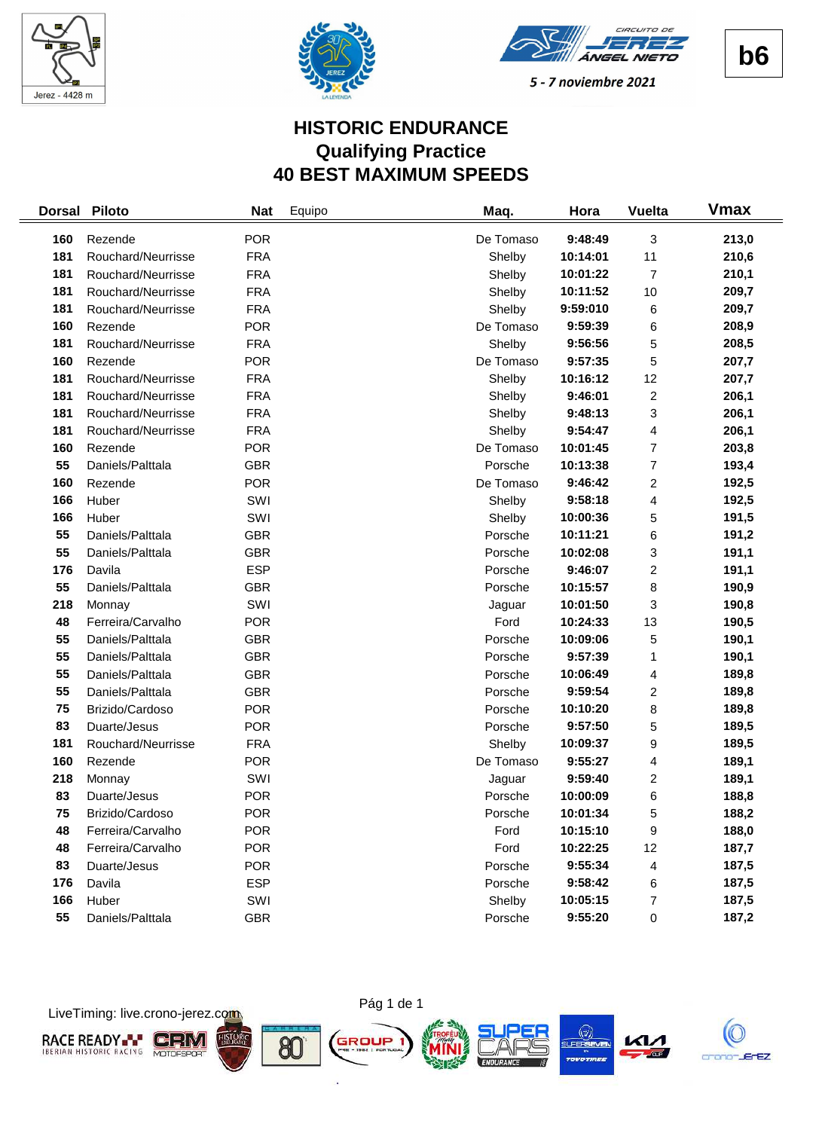





# **HISTORIC ENDURANCE Qualifying Practice 40 BEST MAXIMUM SPEEDS**

| <b>Dorsal</b> | <b>Piloto</b>      | <b>Nat</b> | Equipo | Maq.      | Hora     | <b>Vuelta</b>  | <b>Vmax</b> |
|---------------|--------------------|------------|--------|-----------|----------|----------------|-------------|
| 160           | Rezende            | <b>POR</b> |        | De Tomaso | 9:48:49  | 3              | 213,0       |
| 181           | Rouchard/Neurrisse | <b>FRA</b> |        | Shelby    | 10:14:01 | 11             | 210,6       |
| 181           | Rouchard/Neurrisse | <b>FRA</b> |        | Shelby    | 10:01:22 | 7              | 210,1       |
| 181           | Rouchard/Neurrisse | <b>FRA</b> |        | Shelby    | 10:11:52 | 10             | 209,7       |
| 181           | Rouchard/Neurrisse | <b>FRA</b> |        | Shelby    | 9:59:010 | 6              | 209,7       |
| 160           | Rezende            | <b>POR</b> |        | De Tomaso | 9:59:39  | 6              | 208,9       |
| 181           | Rouchard/Neurrisse | <b>FRA</b> |        | Shelby    | 9:56:56  | 5              | 208,5       |
| 160           | Rezende            | <b>POR</b> |        | De Tomaso | 9:57:35  | 5              | 207,7       |
| 181           | Rouchard/Neurrisse | <b>FRA</b> |        | Shelby    | 10:16:12 | 12             | 207,7       |
| 181           | Rouchard/Neurrisse | <b>FRA</b> |        | Shelby    | 9:46:01  | $\overline{c}$ | 206,1       |
| 181           | Rouchard/Neurrisse | <b>FRA</b> |        | Shelby    | 9:48:13  | 3              | 206,1       |
| 181           | Rouchard/Neurrisse | <b>FRA</b> |        | Shelby    | 9:54:47  | 4              | 206,1       |
| 160           | Rezende            | <b>POR</b> |        | De Tomaso | 10:01:45 | $\overline{7}$ | 203,8       |
| 55            | Daniels/Palttala   | <b>GBR</b> |        | Porsche   | 10:13:38 | 7              | 193,4       |
| 160           | Rezende            | <b>POR</b> |        | De Tomaso | 9:46:42  | $\overline{c}$ | 192,5       |
| 166           | Huber              | SWI        |        | Shelby    | 9:58:18  | 4              | 192,5       |
| 166           | Huber              | SWI        |        | Shelby    | 10:00:36 | 5              | 191,5       |
| 55            | Daniels/Palttala   | <b>GBR</b> |        | Porsche   | 10:11:21 | 6              | 191,2       |
| 55            | Daniels/Palttala   | <b>GBR</b> |        | Porsche   | 10:02:08 | 3              | 191,1       |
| 176           | Davila             | <b>ESP</b> |        | Porsche   | 9:46:07  | 2              | 191,1       |
| 55            | Daniels/Palttala   | <b>GBR</b> |        | Porsche   | 10:15:57 | 8              | 190,9       |
| 218           | Monnay             | SWI        |        | Jaguar    | 10:01:50 | 3              | 190,8       |
| 48            | Ferreira/Carvalho  | <b>POR</b> |        | Ford      | 10:24:33 | 13             | 190,5       |
| 55            | Daniels/Palttala   | <b>GBR</b> |        | Porsche   | 10:09:06 | 5              | 190,1       |
| 55            | Daniels/Palttala   | <b>GBR</b> |        | Porsche   | 9:57:39  | 1              | 190,1       |
| 55            | Daniels/Palttala   | <b>GBR</b> |        | Porsche   | 10:06:49 | 4              | 189,8       |
| 55            | Daniels/Palttala   | <b>GBR</b> |        | Porsche   | 9:59:54  | $\overline{c}$ | 189,8       |
| 75            | Brizido/Cardoso    | <b>POR</b> |        | Porsche   | 10:10:20 | 8              | 189,8       |
| 83            | Duarte/Jesus       | <b>POR</b> |        | Porsche   | 9:57:50  | 5              | 189,5       |
| 181           | Rouchard/Neurrisse | <b>FRA</b> |        | Shelby    | 10:09:37 | 9              | 189,5       |
| 160           | Rezende            | <b>POR</b> |        | De Tomaso | 9:55:27  | 4              | 189,1       |
| 218           | Monnay             | SWI        |        | Jaguar    | 9:59:40  | 2              | 189,1       |
| 83            | Duarte/Jesus       | <b>POR</b> |        | Porsche   | 10:00:09 | 6              | 188,8       |
| 75            | Brizido/Cardoso    | <b>POR</b> |        | Porsche   | 10:01:34 | 5              | 188,2       |
| 48            | Ferreira/Carvalho  | <b>POR</b> |        | Ford      | 10:15:10 | 9              | 188,0       |
| 48            | Ferreira/Carvalho  | <b>POR</b> |        | Ford      | 10:22:25 | 12             | 187,7       |
| 83            | Duarte/Jesus       | <b>POR</b> |        | Porsche   | 9:55:34  | 4              | 187,5       |
| 176           | Davila             | <b>ESP</b> |        | Porsche   | 9:58:42  | 6              | 187,5       |
| 166           | Huber              | SWI        |        | Shelby    | 10:05:15 | 7              | 187,5       |
| 55            | Daniels/Palttala   | <b>GBR</b> |        | Porsche   | 9:55:20  | $\pmb{0}$      | 187,2       |





ò.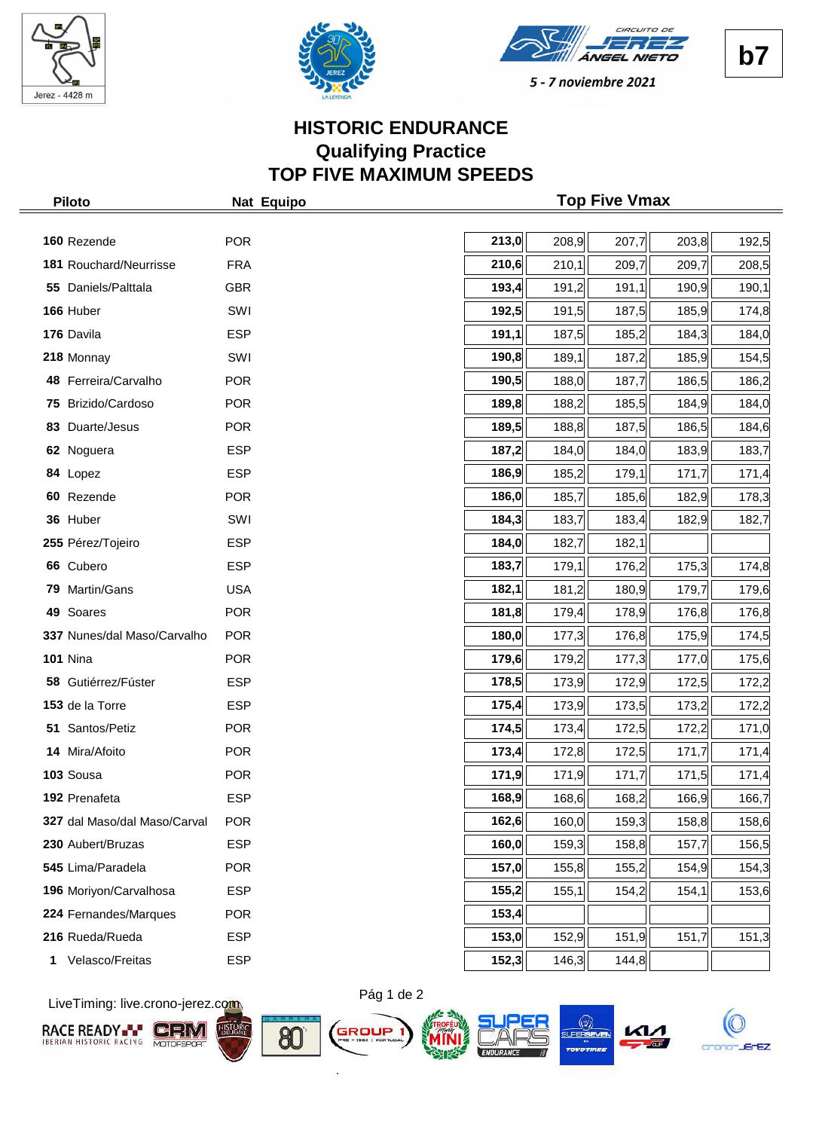





# **HISTORIC ENDURANCE Qualifying Practice TOP FIVE MAXIMUM SPEEDS**

| <b>Piloto</b>                | Nat Equipo | <b>Top Five Vmax</b> |       |       |       |       |
|------------------------------|------------|----------------------|-------|-------|-------|-------|
|                              |            |                      |       |       |       |       |
| 160 Rezende                  | <b>POR</b> | 213,0                | 208,9 | 207,7 | 203,8 | 192,5 |
| 181 Rouchard/Neurrisse       | <b>FRA</b> | 210,6                | 210,1 | 209,7 | 209,7 | 208,5 |
| 55 Daniels/Palttala          | <b>GBR</b> | 193,4                | 191,2 | 191,1 | 190,9 | 190,1 |
| 166 Huber                    | SWI        | 192,5                | 191,5 | 187,5 | 185,9 | 174,8 |
| 176 Davila                   | <b>ESP</b> | 191,1                | 187,5 | 185,2 | 184,3 | 184,0 |
| 218 Monnay                   | SWI        | 190,8                | 189,1 | 187,2 | 185,9 | 154,5 |
| 48 Ferreira/Carvalho         | <b>POR</b> | 190,5                | 188,0 | 187,7 | 186,5 | 186,2 |
| 75 Brizido/Cardoso           | <b>POR</b> | 189,8                | 188,2 | 185,5 | 184,9 | 184,0 |
| 83 Duarte/Jesus              | <b>POR</b> | 189,5                | 188,8 | 187,5 | 186,5 | 184,6 |
| 62 Noguera                   | <b>ESP</b> | 187,2                | 184,0 | 184,0 | 183,9 | 183,7 |
| 84 Lopez                     | <b>ESP</b> | 186,9                | 185,2 | 179,1 | 171,7 | 171,4 |
| 60 Rezende                   | <b>POR</b> | 186,0                | 185,7 | 185,6 | 182,9 | 178,3 |
| 36 Huber                     | SWI        | 184,3                | 183,7 | 183,4 | 182,9 | 182,7 |
| 255 Pérez/Tojeiro            | <b>ESP</b> | 184,0                | 182,7 | 182,1 |       |       |
| 66 Cubero                    | <b>ESP</b> | 183,7                | 179,1 | 176,2 | 175,3 | 174,8 |
| 79 Martin/Gans               | <b>USA</b> | 182,1                | 181,2 | 180,9 | 179,7 | 179,6 |
| 49 Soares                    | <b>POR</b> | 181,8                | 179,4 | 178,9 | 176,8 | 176,8 |
| 337 Nunes/dal Maso/Carvalho  | <b>POR</b> | 180,0                | 177,3 | 176,8 | 175,9 | 174,5 |
| <b>101 Nina</b>              | <b>POR</b> | 179,6                | 179,2 | 177,3 | 177,0 | 175,6 |
| 58 Gutiérrez/Fúster          | <b>ESP</b> | 178,5                | 173,9 | 172,9 | 172,5 | 172,2 |
| 153 de la Torre              | <b>ESP</b> | 175,4                | 173,9 | 173,5 | 173,2 | 172,2 |
| 51 Santos/Petiz              | <b>POR</b> | 174,5                | 173,4 | 172,5 | 172,2 | 171,0 |
| 14 Mira/Afoito               | <b>POR</b> | 173,4                | 172,8 | 172,5 | 171,7 | 171,4 |
| 103 Sousa                    | <b>POR</b> | 171,9                | 171,9 | 171,7 | 171,5 | 171,4 |
| 192 Prenafeta                | <b>ESP</b> | 168,9                | 168,6 | 168,2 | 166,9 | 166,7 |
| 327 dal Maso/dal Maso/Carval | <b>POR</b> | 162,6                | 160,0 | 159,3 | 158,8 | 158,6 |
| 230 Aubert/Bruzas            | <b>ESP</b> | 160,0                | 159,3 | 158,8 | 157,7 | 156,5 |
| 545 Lima/Paradela            | <b>POR</b> | 157,0                | 155,8 | 155,2 | 154,9 | 154,3 |
| 196 Moriyon/Carvalhosa       | <b>ESP</b> | 155,2                | 155,1 | 154,2 | 154,1 | 153,6 |
| 224 Fernandes/Marques        | <b>POR</b> | 153,4                |       |       |       |       |
| 216 Rueda/Rueda              | <b>ESP</b> | 153,0                | 152,9 | 151,9 | 151,7 | 151,3 |
| Velasco/Freitas<br>1         | <b>ESP</b> | 152,3                | 146,3 | 144,8 |       |       |

LiveTiming: live.crono-jerez.com













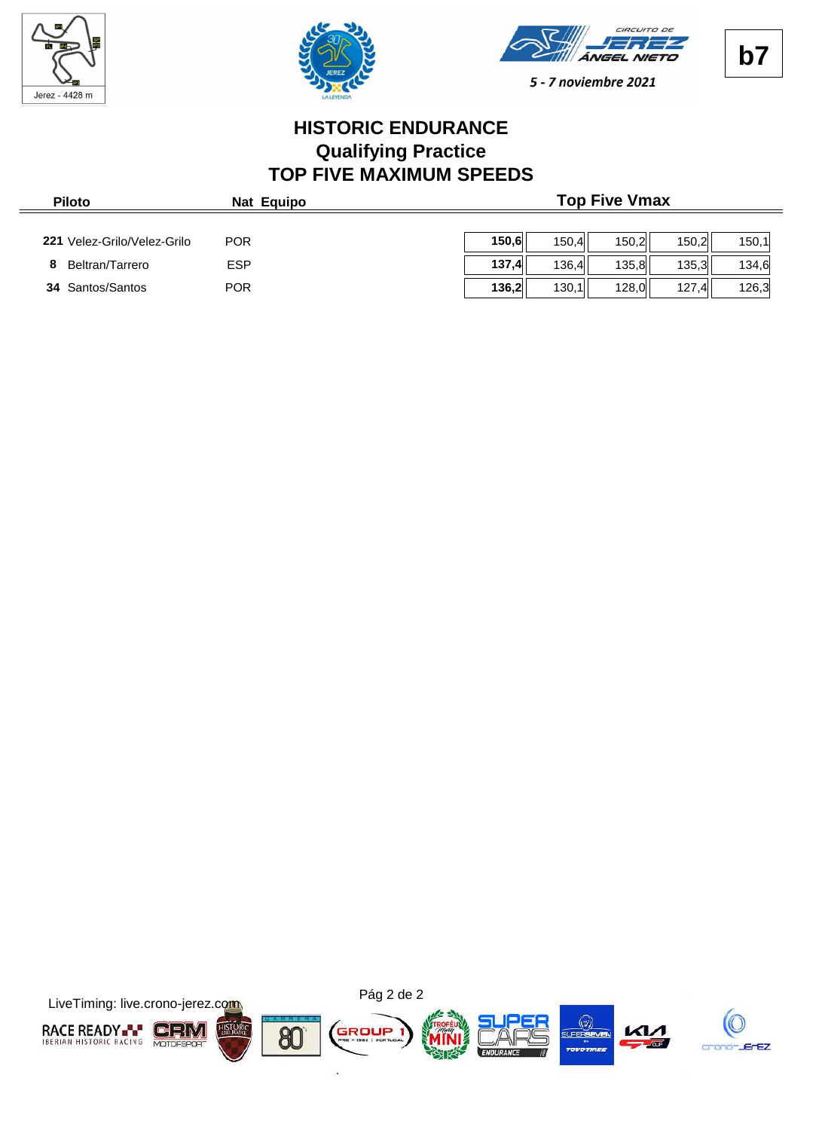





# **HISTORIC ENDURANCE Qualifying Practice TOP FIVE MAXIMUM SPEEDS**

| <b>Piloto</b>               | Nat Equipo |       |       | <b>Top Five Vmax</b> |       |       |
|-----------------------------|------------|-------|-------|----------------------|-------|-------|
| 221 Velez-Grilo/Velez-Grilo | <b>POR</b> | 150.6 | 150.4 | 150.2                | 150.2 | 150.1 |
| Beltran/Tarrero             | <b>ESP</b> | 137.4 | 136.4 | 135.8                | 135.3 | 134.6 |
| <b>34 Santos/Santos</b>     | <b>POR</b> | 136,2 | 130,1 | 128,0                | 127,4 | 126,3 |

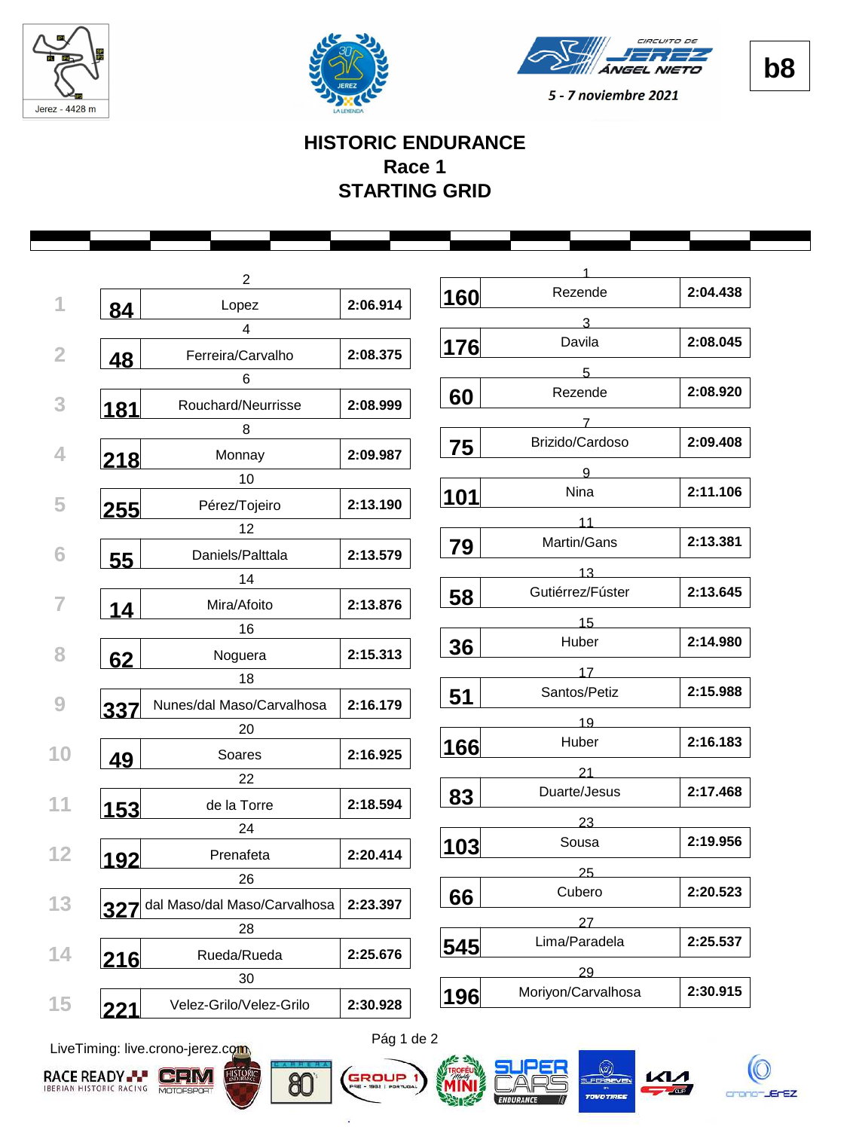





**b8**

## **HISTORIC ENDURANCE Race 1 STARTING GRID**

|     | $\overline{2}$                   |          |     |                    |          |
|-----|----------------------------------|----------|-----|--------------------|----------|
|     | Lopez                            | 2:06.914 | 160 | Rezende            | 2:04.438 |
| 84  | $\overline{4}$                   |          |     | 3                  |          |
|     | Ferreira/Carvalho                | 2:08.375 | 176 | Davila             | 2:08.045 |
| 48  |                                  |          |     | 5                  |          |
|     | 6                                |          | 60  | Rezende            | 2:08.920 |
| 181 | Rouchard/Neurrisse               | 2:08.999 |     | 7                  |          |
|     | 8                                |          | 75  | Brizido/Cardoso    | 2:09.408 |
| 218 | Monnay                           | 2:09.987 |     | $\mathbf{Q}$       |          |
|     | 10                               |          |     | Nina               | 2:11.106 |
| 255 | Pérez/Tojeiro                    | 2:13.190 | 101 |                    |          |
|     | 12                               |          |     | 11                 |          |
| 55  | Daniels/Palttala                 | 2:13.579 | 79  | Martin/Gans        | 2:13.381 |
|     | 14                               |          |     | 13                 |          |
| 14  | Mira/Afoito                      | 2:13.876 | 58  | Gutiérrez/Fúster   | 2:13.645 |
|     | 16                               |          |     | 15                 |          |
|     | Noguera                          | 2:15.313 | 36  | Huber              | 2:14.980 |
| 62  | 18                               |          |     | 17                 |          |
|     |                                  | 2:16.179 | 51  | Santos/Petiz       | 2:15.988 |
| 337 | Nunes/dal Maso/Carvalhosa        |          |     | 19                 |          |
|     | 20                               |          | 166 | Huber              | 2:16.183 |
| 49  | Soares                           | 2:16.925 |     | 21                 |          |
|     | 22                               |          | 83  | Duarte/Jesus       | 2:17.468 |
| 153 | de la Torre                      | 2:18.594 |     |                    |          |
|     | 24                               |          |     | 23<br>Sousa        | 2:19.956 |
| 192 | Prenafeta                        | 2:20.414 | 103 |                    |          |
|     | 26                               |          |     | 25                 |          |
|     | 327 dal Maso/dal Maso/Carvalhosa | 2:23.397 | 66  | Cubero             | 2:20.523 |
|     | 28                               |          |     | 27                 |          |
|     | Rueda/Rueda                      | 2:25.676 | 545 | Lima/Paradela      | 2:25.537 |
| 216 | 30                               |          |     | 29                 |          |
|     | Velez-Grilo/Velez-Grilo          | 2:30.928 | 196 | Moriyon/Carvalhosa | 2:30.915 |

LiveTiming: live.crono-jerez.com





ä



LFERS

crono-JErEZ